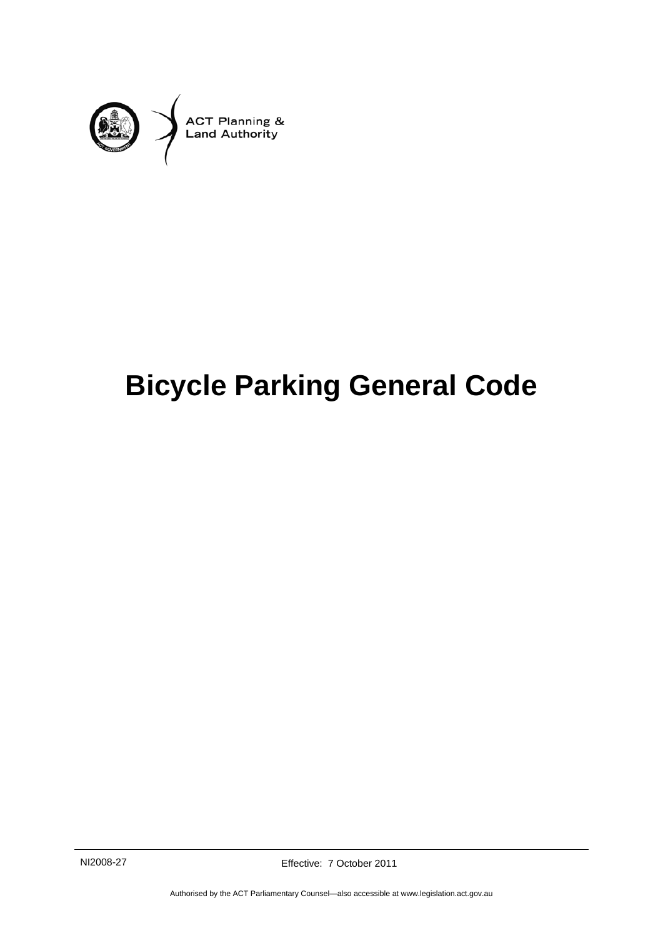

# **Bicycle Parking General Code**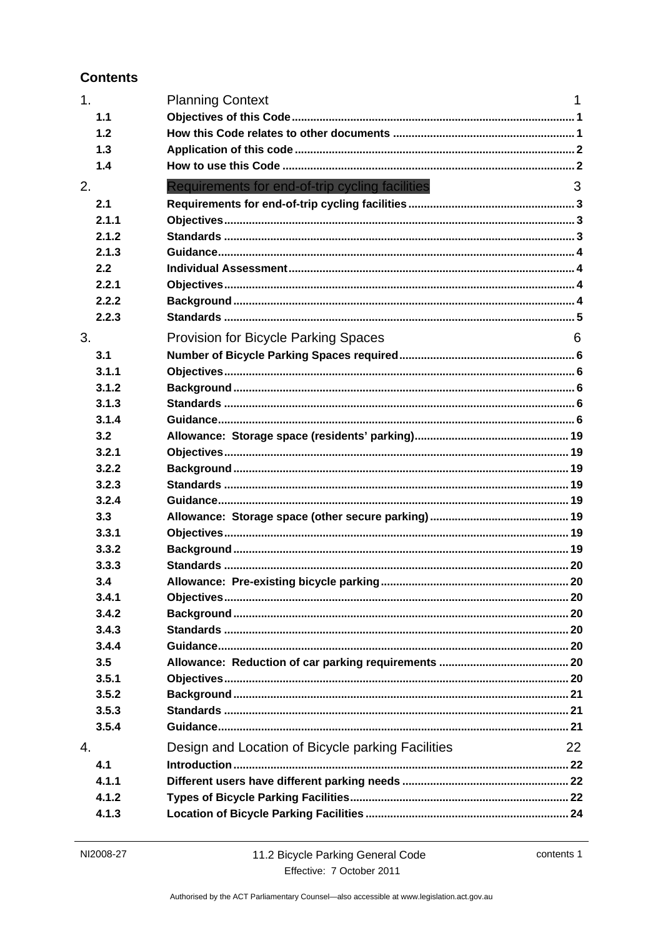#### **Contents**

| 1 <sub>1</sub> | <b>Planning Context</b>                           | 1  |
|----------------|---------------------------------------------------|----|
| 1.1            |                                                   |    |
| 1.2            |                                                   |    |
| 1.3            |                                                   |    |
| 1.4            |                                                   |    |
| 2.             | Requirements for end-of-trip cycling facilities   | 3  |
| 2.1            |                                                   |    |
| 2.1.1          |                                                   |    |
| 2.1.2          |                                                   |    |
| 2.1.3          |                                                   |    |
| 2.2            |                                                   |    |
| 2.2.1          |                                                   |    |
| 2.2.2          |                                                   |    |
| 2.2.3          |                                                   |    |
| 3.             | <b>Provision for Bicycle Parking Spaces</b>       | 6  |
| 3.1            |                                                   |    |
| 3.1.1          |                                                   |    |
| 3.1.2          |                                                   |    |
| 3.1.3          |                                                   |    |
| 3.1.4          |                                                   |    |
| 3.2            |                                                   |    |
| 3.2.1          |                                                   |    |
| 3.2.2          |                                                   |    |
| 3.2.3          |                                                   |    |
| 3.2.4          |                                                   |    |
| 3.3            |                                                   |    |
| 3.3.1          |                                                   |    |
| 3.3.2          |                                                   |    |
| 3.3.3          |                                                   |    |
| 3.4            |                                                   |    |
| 3.4.1          |                                                   |    |
| 3.4.2          |                                                   |    |
| 3.4.3          |                                                   |    |
| 3.4.4          |                                                   |    |
| 3.5            |                                                   |    |
| 3.5.1          |                                                   |    |
| 3.5.2          |                                                   |    |
| 3.5.3          |                                                   |    |
| 3.5.4          |                                                   |    |
| 4.             | Design and Location of Bicycle parking Facilities | 22 |
| 4.1            |                                                   |    |
| 4.1.1          |                                                   |    |
| 4.1.2          |                                                   |    |
| 4.1.3          |                                                   |    |
|                |                                                   |    |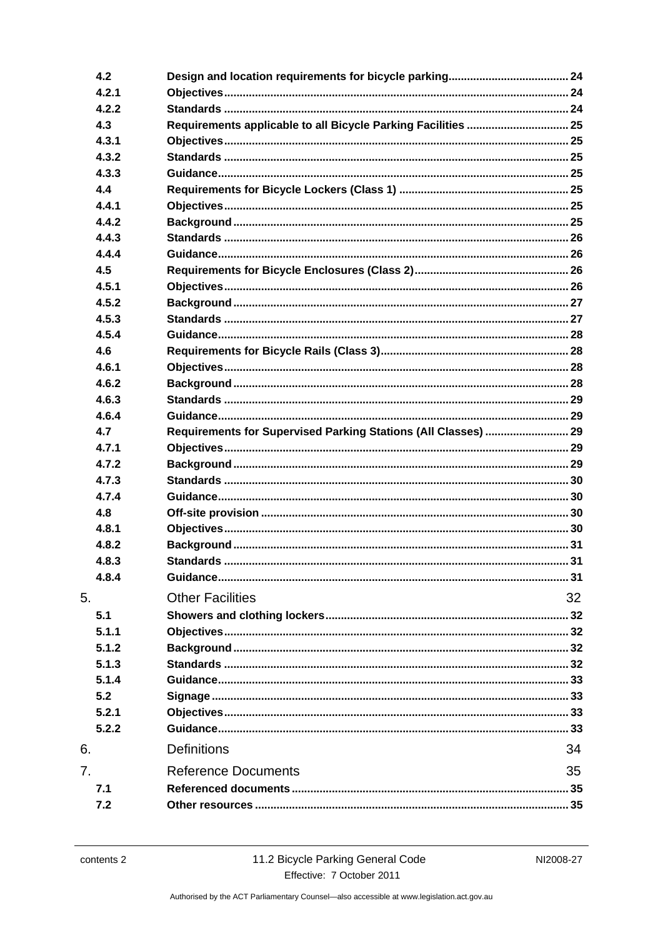|    | 4.2   |                                                                |    |
|----|-------|----------------------------------------------------------------|----|
|    | 4.2.1 |                                                                |    |
|    | 4.2.2 |                                                                |    |
|    | 4.3   | Requirements applicable to all Bicycle Parking Facilities  25  |    |
|    | 4.3.1 |                                                                |    |
|    | 4.3.2 |                                                                |    |
|    | 4.3.3 |                                                                |    |
|    | 4.4   |                                                                |    |
|    | 4.4.1 |                                                                |    |
|    | 4.4.2 |                                                                |    |
|    | 4.4.3 |                                                                |    |
|    | 4.4.4 |                                                                |    |
|    | 4.5   |                                                                |    |
|    | 4.5.1 |                                                                |    |
|    | 4.5.2 |                                                                |    |
|    | 4.5.3 |                                                                |    |
|    | 4.5.4 |                                                                |    |
|    | 4.6   |                                                                |    |
|    | 4.6.1 |                                                                |    |
|    | 4.6.2 |                                                                |    |
|    | 4.6.3 |                                                                |    |
|    | 4.6.4 |                                                                |    |
|    | 4.7   | Requirements for Supervised Parking Stations (All Classes)  29 |    |
|    | 4.7.1 |                                                                |    |
|    | 4.7.2 |                                                                |    |
|    | 4.7.3 |                                                                |    |
|    | 4.7.4 |                                                                |    |
|    | 4.8   |                                                                |    |
|    | 4.8.1 |                                                                |    |
|    | 4.8.2 |                                                                |    |
|    | 4.8.3 |                                                                |    |
|    | 4.8.4 |                                                                |    |
|    |       |                                                                |    |
| 5. |       | <b>Other Facilities</b>                                        | 32 |
|    | 5.1   |                                                                |    |
|    | 5.1.1 |                                                                |    |
|    | 5.1.2 |                                                                |    |
|    | 5.1.3 |                                                                |    |
|    | 5.1.4 |                                                                |    |
|    | 5.2   |                                                                |    |
|    | 5.2.1 |                                                                |    |
|    | 5.2.2 |                                                                |    |
| 6. |       | <b>Definitions</b>                                             | 34 |
| 7. |       | <b>Reference Documents</b>                                     | 35 |
|    | 7.1   |                                                                |    |
|    | 7.2   |                                                                |    |
|    |       |                                                                |    |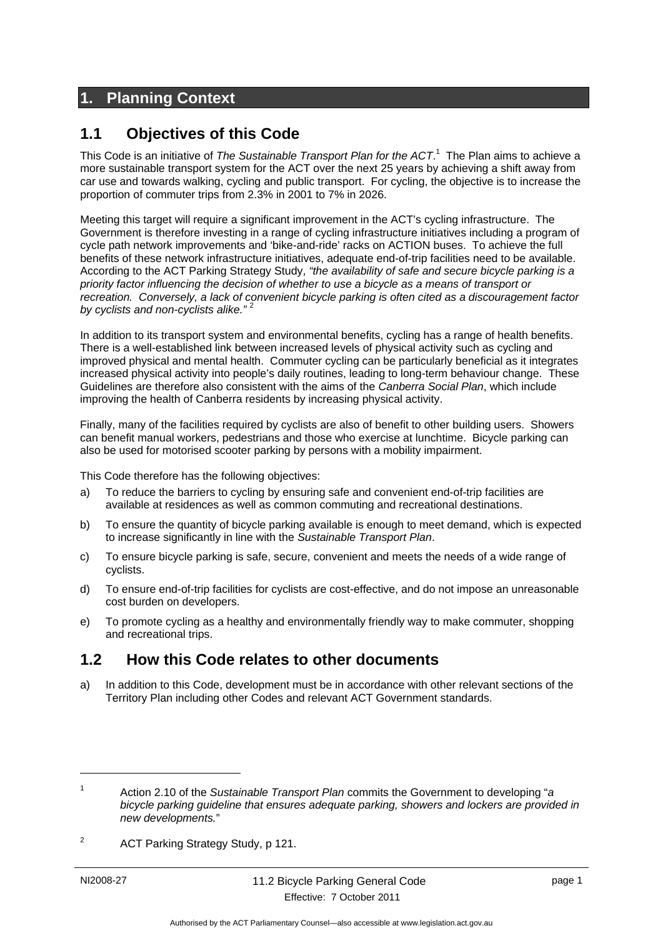# <span id="page-4-0"></span>**1. Planning Context**

### <span id="page-4-1"></span>**1.1 Objectives of this Code**

This Code is an initiative of *The Sustainable Transport Plan for the ACT*. 1 The Plan aims to achieve a more sustainable transport system for the ACT over the next 25 years by achieving a shift away from car use and towards walking, cycling and public transport. For cycling, the objective is to increase the proportion of commuter trips from 2.3% in 2001 to 7% in 2026.

Meeting this target will require a significant improvement in the ACT's cycling infrastructure. The Government is therefore investing in a range of cycling infrastructure initiatives including a program of cycle path network improvements and 'bike-and-ride' racks on ACTION buses. To achieve the full benefits of these network infrastructure initiatives, adequate end-of-trip facilities need to be available. According to the ACT Parking Strategy Study, *"the availability of safe and secure bicycle parking is a priority factor influencing the decision of whether to use a bicycle as a means of transport or recreation. Conversely, a lack of convenient bicycle parking is often cited as a discouragement factor by cyclists and non-cyclists alike."* <sup>2</sup>

In addition to its transport system and environmental benefits, cycling has a range of health benefits. There is a well-established link between increased levels of physical activity such as cycling and improved physical and mental health. Commuter cycling can be particularly beneficial as it integrates increased physical activity into people's daily routines, leading to long-term behaviour change. These Guidelines are therefore also consistent with the aims of the *Canberra Social Plan*, which include improving the health of Canberra residents by increasing physical activity.

Finally, many of the facilities required by cyclists are also of benefit to other building users. Showers can benefit manual workers, pedestrians and those who exercise at lunchtime. Bicycle parking can also be used for motorised scooter parking by persons with a mobility impairment.

This Code therefore has the following objectives:

- a) To reduce the barriers to cycling by ensuring safe and convenient end-of-trip facilities are available at residences as well as common commuting and recreational destinations.
- b) To ensure the quantity of bicycle parking available is enough to meet demand, which is expected to increase significantly in line with the *Sustainable Transport Plan*.
- c) To ensure bicycle parking is safe, secure, convenient and meets the needs of a wide range of cyclists.
- d) To ensure end-of-trip facilities for cyclists are cost-effective, and do not impose an unreasonable cost burden on developers.
- e) To promote cycling as a healthy and environmentally friendly way to make commuter, shopping and recreational trips.

### <span id="page-4-2"></span>**1.2 How this Code relates to other documents**

a) In addition to this Code, development must be in accordance with other relevant sections of the Territory Plan including other Codes and relevant ACT Government standards.

1

<sup>1</sup> Action 2.10 of the *Sustainable Transport Plan* commits the Government to developing "*a bicycle parking guideline that ensures adequate parking, showers and lockers are provided in new developments.*"

<sup>2</sup> ACT Parking Strategy Study, p 121.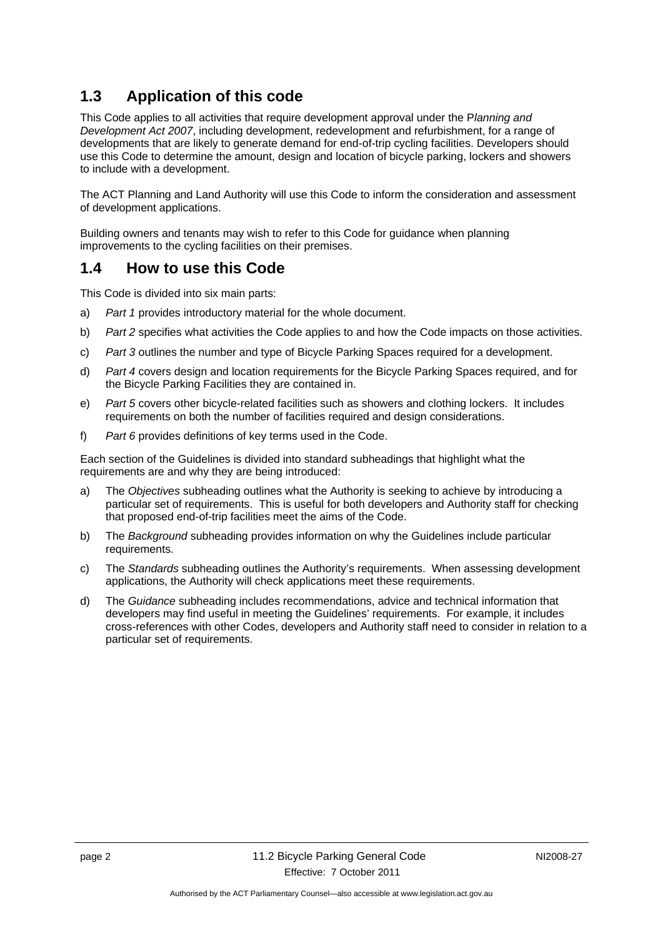# <span id="page-5-0"></span>**1.3 Application of this code**

This Code applies to all activities that require development approval under the P*lanning and Development Act 2007*, including development, redevelopment and refurbishment, for a range of developments that are likely to generate demand for end-of-trip cycling facilities. Developers should use this Code to determine the amount, design and location of bicycle parking, lockers and showers to include with a development.

The ACT Planning and Land Authority will use this Code to inform the consideration and assessment of development applications.

Building owners and tenants may wish to refer to this Code for guidance when planning improvements to the cycling facilities on their premises.

### <span id="page-5-1"></span>**1.4 How to use this Code**

This Code is divided into six main parts:

- a) *Part 1* provides introductory material for the whole document.
- b) *Part 2* specifies what activities the Code applies to and how the Code impacts on those activities.
- c) *Part 3* outlines the number and type of Bicycle Parking Spaces required for a development.
- d) *Part 4* covers design and location requirements for the Bicycle Parking Spaces required, and for the Bicycle Parking Facilities they are contained in.
- e) *Part 5* covers other bicycle-related facilities such as showers and clothing lockers. It includes requirements on both the number of facilities required and design considerations.
- f) *Part 6* provides definitions of key terms used in the Code.

Each section of the Guidelines is divided into standard subheadings that highlight what the requirements are and why they are being introduced:

- a) The *Objectives* subheading outlines what the Authority is seeking to achieve by introducing a particular set of requirements. This is useful for both developers and Authority staff for checking that proposed end-of-trip facilities meet the aims of the Code.
- b) The *Background* subheading provides information on why the Guidelines include particular requirements.
- c) The *Standards* subheading outlines the Authority's requirements. When assessing development applications, the Authority will check applications meet these requirements.
- d) The *Guidance* subheading includes recommendations, advice and technical information that developers may find useful in meeting the Guidelines' requirements. For example, it includes cross-references with other Codes, developers and Authority staff need to consider in relation to a particular set of requirements.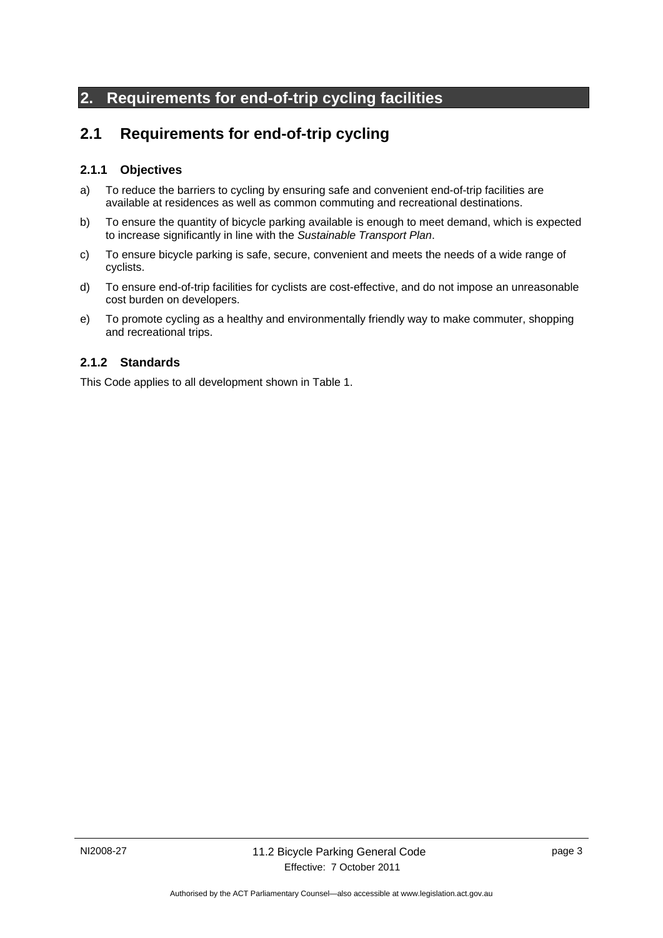# <span id="page-6-0"></span>**2. Requirements for end-of-trip cycling facilities**

# <span id="page-6-1"></span>**2.1 Requirements for end-of-trip cycling**

#### <span id="page-6-2"></span>**2.1.1 Objectives**

- a) To reduce the barriers to cycling by ensuring safe and convenient end-of-trip facilities are available at residences as well as common commuting and recreational destinations.
- b) To ensure the quantity of bicycle parking available is enough to meet demand, which is expected to increase significantly in line with the *Sustainable Transport Plan*.
- c) To ensure bicycle parking is safe, secure, convenient and meets the needs of a wide range of cyclists.
- d) To ensure end-of-trip facilities for cyclists are cost-effective, and do not impose an unreasonable cost burden on developers.
- e) To promote cycling as a healthy and environmentally friendly way to make commuter, shopping and recreational trips.

#### <span id="page-6-3"></span>**2.1.2 Standards**

This Code applies to all development shown in Table 1.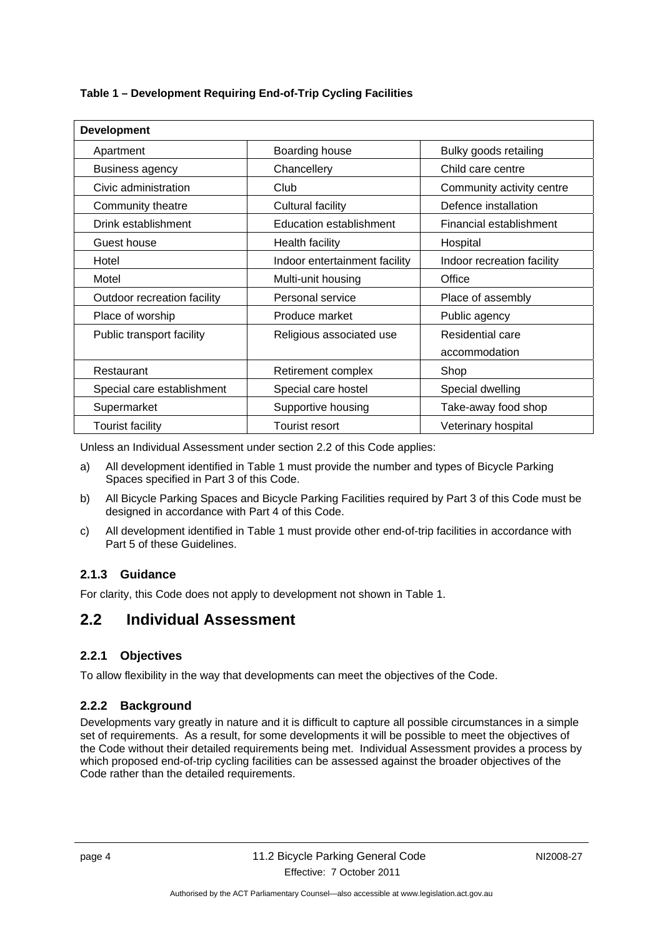| Table 1 - Development Requiring End-of-Trip Cycling Facilities |  |  |  |
|----------------------------------------------------------------|--|--|--|

| <b>Development</b>          |                                |                            |  |  |  |  |  |
|-----------------------------|--------------------------------|----------------------------|--|--|--|--|--|
| Apartment                   | Boarding house                 | Bulky goods retailing      |  |  |  |  |  |
| <b>Business agency</b>      | Chancellery                    | Child care centre          |  |  |  |  |  |
| Civic administration        | Club                           | Community activity centre  |  |  |  |  |  |
| Community theatre           | Cultural facility              | Defence installation       |  |  |  |  |  |
| Drink establishment         | <b>Education establishment</b> | Financial establishment    |  |  |  |  |  |
| Guest house                 | <b>Health facility</b>         | Hospital                   |  |  |  |  |  |
| Hotel                       | Indoor entertainment facility  | Indoor recreation facility |  |  |  |  |  |
| Motel                       | Multi-unit housing             | Office                     |  |  |  |  |  |
| Outdoor recreation facility | Personal service               | Place of assembly          |  |  |  |  |  |
| Place of worship            | Produce market                 | Public agency              |  |  |  |  |  |
| Public transport facility   | Religious associated use       | Residential care           |  |  |  |  |  |
|                             |                                | accommodation              |  |  |  |  |  |
| Restaurant                  | Retirement complex             | Shop                       |  |  |  |  |  |
| Special care establishment  | Special care hostel            | Special dwelling           |  |  |  |  |  |
| Supermarket                 | Supportive housing             | Take-away food shop        |  |  |  |  |  |
| <b>Tourist facility</b>     | <b>Tourist resort</b>          | Veterinary hospital        |  |  |  |  |  |

Unless an Individual Assessment under section 2.2 of this Code applies:

- a) All development identified in Table 1 must provide the number and types of Bicycle Parking Spaces specified in Part 3 of this Code.
- b) All Bicycle Parking Spaces and Bicycle Parking Facilities required by Part 3 of this Code must be designed in accordance with Part 4 of this Code.
- c) All development identified in Table 1 must provide other end-of-trip facilities in accordance with Part 5 of these Guidelines.

#### <span id="page-7-0"></span>**2.1.3 Guidance**

For clarity, this Code does not apply to development not shown in Table 1.

### <span id="page-7-1"></span>**2.2 Individual Assessment**

#### <span id="page-7-2"></span>**2.2.1 Objectives**

To allow flexibility in the way that developments can meet the objectives of the Code.

#### <span id="page-7-3"></span>**2.2.2 Background**

Developments vary greatly in nature and it is difficult to capture all possible circumstances in a simple set of requirements. As a result, for some developments it will be possible to meet the objectives of the Code without their detailed requirements being met. Individual Assessment provides a process by which proposed end-of-trip cycling facilities can be assessed against the broader objectives of the Code rather than the detailed requirements.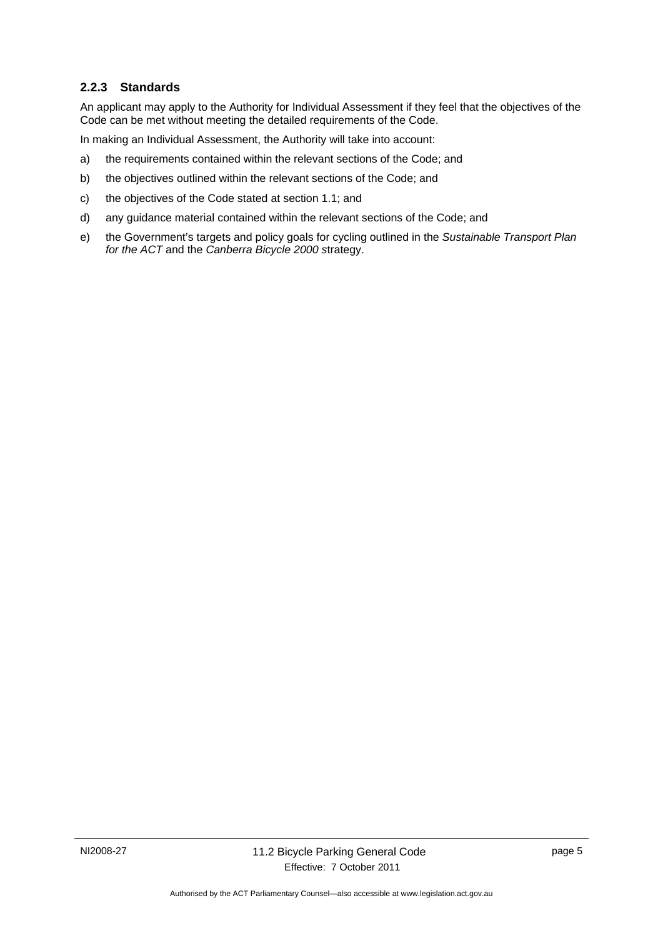#### <span id="page-8-0"></span>**2.2.3 Standards**

An applicant may apply to the Authority for Individual Assessment if they feel that the objectives of the Code can be met without meeting the detailed requirements of the Code.

In making an Individual Assessment, the Authority will take into account:

- a) the requirements contained within the relevant sections of the Code; and
- b) the objectives outlined within the relevant sections of the Code; and
- c) the objectives of the Code stated at section 1.1; and
- d) any guidance material contained within the relevant sections of the Code; and
- e) the Government's targets and policy goals for cycling outlined in the *Sustainable Transport Plan for the ACT* and the *Canberra Bicycle 2000 s*trategy.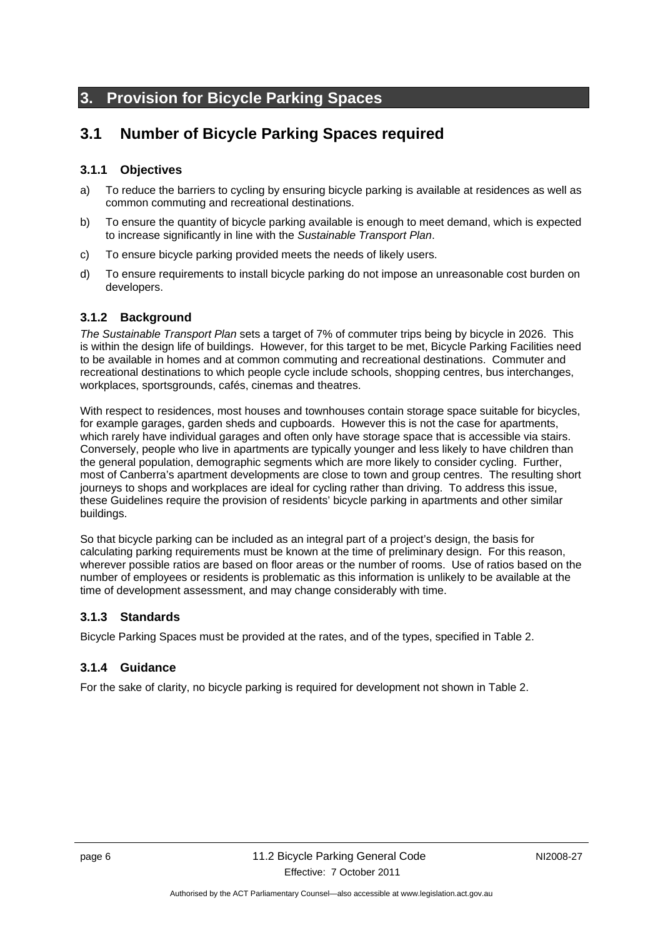# <span id="page-9-0"></span>**3. Provision for Bicycle Parking Spaces**

# <span id="page-9-1"></span>**3.1 Number of Bicycle Parking Spaces required**

#### <span id="page-9-2"></span>**3.1.1 Objectives**

- a) To reduce the barriers to cycling by ensuring bicycle parking is available at residences as well as common commuting and recreational destinations.
- b) To ensure the quantity of bicycle parking available is enough to meet demand, which is expected to increase significantly in line with the *Sustainable Transport Plan*.
- c) To ensure bicycle parking provided meets the needs of likely users.
- d) To ensure requirements to install bicycle parking do not impose an unreasonable cost burden on developers.

#### <span id="page-9-3"></span>**3.1.2 Background**

*The Sustainable Transport Plan* sets a target of 7% of commuter trips being by bicycle in 2026. This is within the design life of buildings. However, for this target to be met, Bicycle Parking Facilities need to be available in homes and at common commuting and recreational destinations. Commuter and recreational destinations to which people cycle include schools, shopping centres, bus interchanges, workplaces, sportsgrounds, cafés, cinemas and theatres.

With respect to residences, most houses and townhouses contain storage space suitable for bicycles, for example garages, garden sheds and cupboards. However this is not the case for apartments, which rarely have individual garages and often only have storage space that is accessible via stairs. Conversely, people who live in apartments are typically younger and less likely to have children than the general population, demographic segments which are more likely to consider cycling. Further, most of Canberra's apartment developments are close to town and group centres. The resulting short journeys to shops and workplaces are ideal for cycling rather than driving. To address this issue, these Guidelines require the provision of residents' bicycle parking in apartments and other similar buildings.

So that bicycle parking can be included as an integral part of a project's design, the basis for calculating parking requirements must be known at the time of preliminary design. For this reason, wherever possible ratios are based on floor areas or the number of rooms. Use of ratios based on the number of employees or residents is problematic as this information is unlikely to be available at the time of development assessment, and may change considerably with time.

#### <span id="page-9-4"></span>**3.1.3 Standards**

Bicycle Parking Spaces must be provided at the rates, and of the types, specified in Table 2.

#### <span id="page-9-5"></span>**3.1.4 Guidance**

For the sake of clarity, no bicycle parking is required for development not shown in Table 2.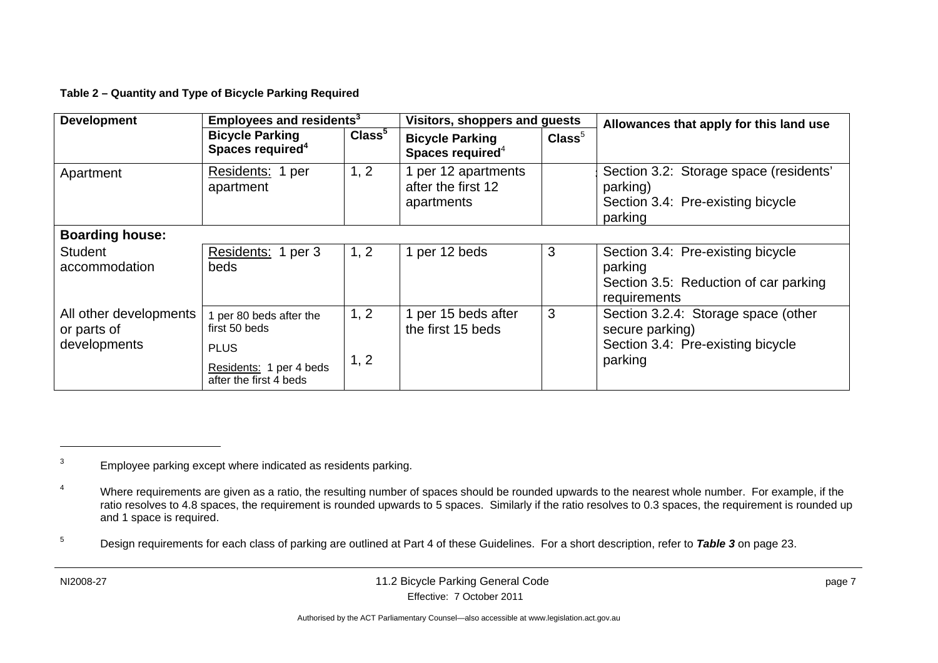**Table 2 – Quantity and Type of Bicycle Parking Required** 

| <b>Development</b>                                    | Employees and residents <sup>3</sup>                                                                         |                    | Visitors, shoppers and guests                           |                  | Allowances that apply for this land use                                                                |
|-------------------------------------------------------|--------------------------------------------------------------------------------------------------------------|--------------------|---------------------------------------------------------|------------------|--------------------------------------------------------------------------------------------------------|
|                                                       | <b>Bicycle Parking</b><br>Spaces required <sup>4</sup>                                                       | Class <sup>5</sup> | <b>Bicycle Parking</b><br>Spaces required <sup>4</sup>  | $\text{Class}^5$ |                                                                                                        |
| Apartment                                             | Residents: 1 per<br>apartment                                                                                | 1, 2               | 1 per 12 apartments<br>after the first 12<br>apartments |                  | Section 3.2: Storage space (residents'<br>parking)<br>Section 3.4: Pre-existing bicycle<br>parking     |
| <b>Boarding house:</b>                                |                                                                                                              |                    |                                                         |                  |                                                                                                        |
| <b>Student</b><br>accommodation                       | Residents: 1 per 3<br>beds                                                                                   | 1, 2               | 1 per 12 beds                                           | 3                | Section 3.4: Pre-existing bicycle<br>parking<br>Section 3.5: Reduction of car parking<br>requirements  |
| All other developments<br>or parts of<br>developments | 1 per 80 beds after the<br>first 50 beds<br><b>PLUS</b><br>Residents: 1 per 4 beds<br>after the first 4 beds | 1, 2<br>1, 2       | 1 per 15 beds after<br>the first 15 beds                | 3                | Section 3.2.4: Storage space (other<br>secure parking)<br>Section 3.4: Pre-existing bicycle<br>parking |

<sup>&</sup>lt;sup>3</sup> Employee parking except where indicated as residents parking.

<sup>&</sup>lt;sup>4</sup> Where requirements are given as a ratio, the resulting number of spaces should be rounded upwards to the nearest whole number. For example, if the ratio resolves to 4.8 spaces, the requirement is rounded upwards to 5 spaces. Similarly if the ratio resolves to 0.3 spaces, the requirement is rounded up and 1 space is required.

<sup>5</sup> Design requirements for each class of parking are outlined at Part 4 of these Guidelines. For a short description, refer to *Table 3* on page 23.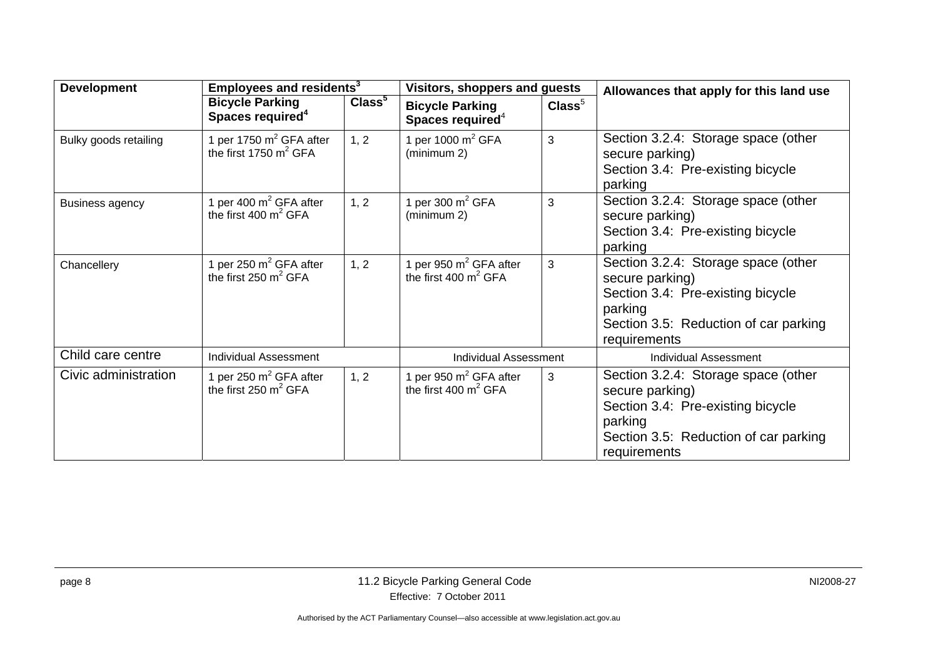| <b>Development</b>     | Employees and residents <sup>3</sup>                         |                    | Visitors, shoppers and guests                          |                  | Allowances that apply for this land use                                                                                                                         |
|------------------------|--------------------------------------------------------------|--------------------|--------------------------------------------------------|------------------|-----------------------------------------------------------------------------------------------------------------------------------------------------------------|
|                        | <b>Bicycle Parking</b><br>Spaces required <sup>4</sup>       | Class <sup>5</sup> | <b>Bicycle Parking</b><br>Spaces required <sup>4</sup> | $\text{Class}^5$ |                                                                                                                                                                 |
| Bulky goods retailing  | 1 per 1750 $m^2$ GFA after<br>the first 1750 $m^2$ GFA       | 1, 2               | 1 per 1000 $m^2$ GFA<br>(minimum 2)                    | 3                | Section 3.2.4: Storage space (other<br>secure parking)<br>Section 3.4: Pre-existing bicycle<br>parking                                                          |
| <b>Business agency</b> | 1 per 400 $m^2$ GFA after<br>the first 400 $m^2$ GFA         | 1, 2               | 1 per 300 $m^2$ GFA<br>(minimum 2)                     | 3                | Section 3.2.4: Storage space (other<br>secure parking)<br>Section 3.4: Pre-existing bicycle<br>parking                                                          |
| Chancellery            | 1 per 250 $m^2$ GFA after<br>the first 250 $m^2$ GFA         | 1, 2               | per 950 $m^2$ GFA after<br>the first 400 $m^2$ GFA     | 3                | Section 3.2.4: Storage space (other<br>secure parking)<br>Section 3.4: Pre-existing bicycle<br>parking<br>Section 3.5: Reduction of car parking<br>requirements |
| Child care centre      | <b>Individual Assessment</b>                                 |                    | <b>Individual Assessment</b>                           |                  | <b>Individual Assessment</b>                                                                                                                                    |
| Civic administration   | 1 per 250 $m^2$ GFA after<br>the first $250 \text{ m}^2$ GFA | 1, 2               | 1 per 950 $m2$ GFA after<br>the first 400 $m^2$ GFA    | 3                | Section 3.2.4: Storage space (other<br>secure parking)<br>Section 3.4: Pre-existing bicycle<br>parking<br>Section 3.5: Reduction of car parking<br>requirements |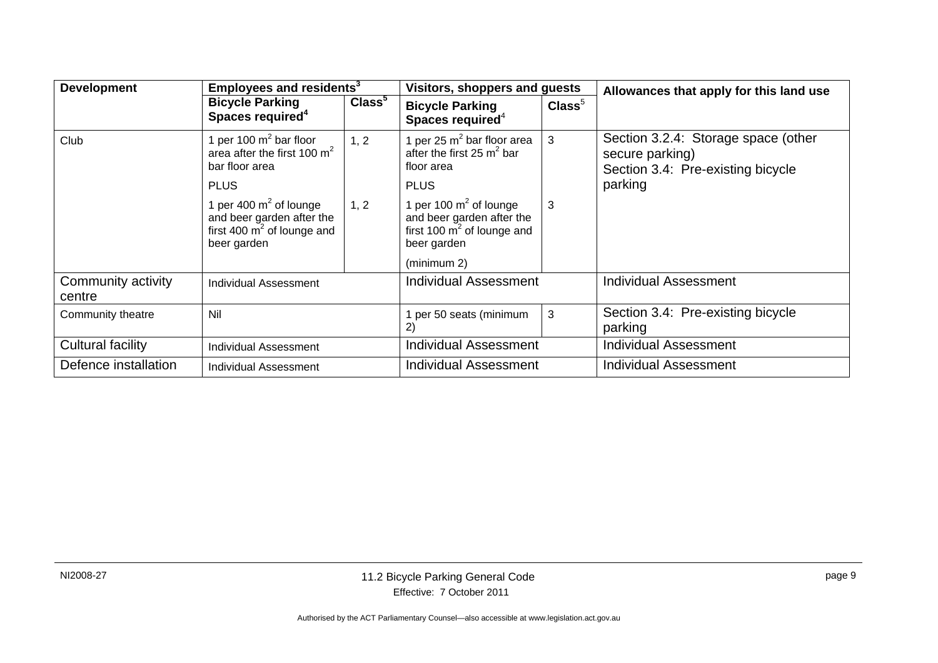| <b>Development</b>           | Employees and residents <sup>3</sup>                                                                   |                    | Visitors, shoppers and guests                                                                          |                  | Allowances that apply for this land use                                                     |
|------------------------------|--------------------------------------------------------------------------------------------------------|--------------------|--------------------------------------------------------------------------------------------------------|------------------|---------------------------------------------------------------------------------------------|
|                              | <b>Bicycle Parking</b><br>Spaces required <sup>4</sup>                                                 | Class <sup>5</sup> | <b>Bicycle Parking</b><br>Spaces required <sup>4</sup>                                                 | $\text{Class}^5$ |                                                                                             |
| Club                         | 1 per 100 $m^2$ bar floor<br>area after the first 100 $m^2$<br>bar floor area                          | 1, 2               | 1 per 25 $m2$ bar floor area<br>after the first 25 $m^2$ bar<br>floor area                             | 3                | Section 3.2.4: Storage space (other<br>secure parking)<br>Section 3.4: Pre-existing bicycle |
|                              | <b>PLUS</b>                                                                                            |                    | <b>PLUS</b>                                                                                            |                  | parking                                                                                     |
|                              | 1 per 400 $m^2$ of lounge<br>and beer garden after the<br>first 400 $m^2$ of lounge and<br>beer garden | 1, 2               | 1 per 100 $m^2$ of lounge<br>and beer garden after the<br>first 100 $m^2$ of lounge and<br>beer garden | 3                |                                                                                             |
|                              |                                                                                                        |                    | (minimum 2)                                                                                            |                  |                                                                                             |
| Community activity<br>centre | Individual Assessment                                                                                  |                    | Individual Assessment                                                                                  |                  | <b>Individual Assessment</b>                                                                |
| Community theatre            | Nil                                                                                                    |                    | 1 per 50 seats (minimum<br>2)                                                                          | 3                | Section 3.4: Pre-existing bicycle<br>parking                                                |
| Cultural facility            | Individual Assessment                                                                                  |                    | Individual Assessment                                                                                  |                  | <b>Individual Assessment</b>                                                                |
| Defence installation         | Individual Assessment                                                                                  |                    | Individual Assessment                                                                                  |                  | <b>Individual Assessment</b>                                                                |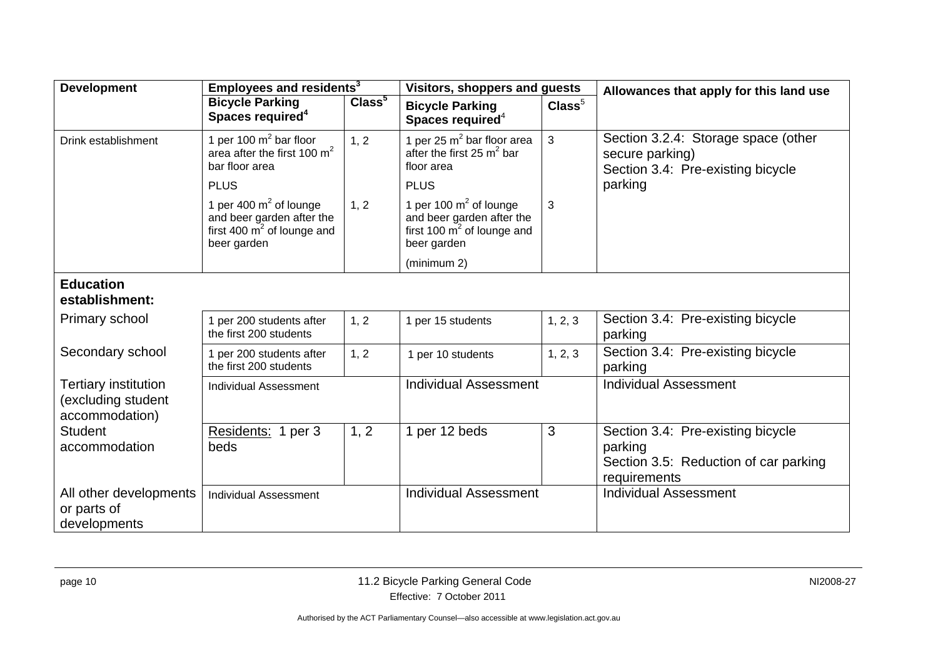| <b>Development</b>                                           | Employees and residents <sup>3</sup>                                                                           |                    | Visitors, shoppers and guests                                                                                     |                  | Allowances that apply for this land use                                                               |  |
|--------------------------------------------------------------|----------------------------------------------------------------------------------------------------------------|--------------------|-------------------------------------------------------------------------------------------------------------------|------------------|-------------------------------------------------------------------------------------------------------|--|
|                                                              | <b>Bicycle Parking</b><br>Spaces required <sup>4</sup>                                                         | Class <sup>5</sup> | <b>Bicycle Parking</b><br>Spaces required <sup>4</sup>                                                            | $\text{Class}^5$ |                                                                                                       |  |
| Drink establishment                                          | 1 per 100 $m^2$ bar floor<br>area after the first 100 $m^2$<br>bar floor area                                  | 1, 2               | 1 per 25 $m^2$ bar floor area<br>after the first 25 $m^2$ bar<br>floor area                                       | 3                | Section 3.2.4: Storage space (other<br>secure parking)<br>Section 3.4: Pre-existing bicycle           |  |
|                                                              | <b>PLUS</b>                                                                                                    |                    | <b>PLUS</b>                                                                                                       |                  | parking                                                                                               |  |
|                                                              | 1 per 400 $m2$ of lounge<br>and beer garden after the<br>first 400 $\mathrm{m}^2$ of lounge and<br>beer garden | 1, 2               | 1 per 100 $m^2$ of lounge<br>and beer garden after the<br>first 100 $\overline{m}^2$ of lounge and<br>beer garden | 3                |                                                                                                       |  |
|                                                              |                                                                                                                |                    | (minimum 2)                                                                                                       |                  |                                                                                                       |  |
| <b>Education</b><br>establishment:                           |                                                                                                                |                    |                                                                                                                   |                  |                                                                                                       |  |
| Primary school                                               | 1 per 200 students after<br>the first 200 students                                                             | 1, 2               | 1 per 15 students                                                                                                 | 1, 2, 3          | Section 3.4: Pre-existing bicycle<br>parking                                                          |  |
| Secondary school                                             | 1 per 200 students after<br>the first 200 students                                                             | 1, 2               | 1 per 10 students                                                                                                 | 1, 2, 3          | Section 3.4: Pre-existing bicycle<br>parking                                                          |  |
| Tertiary institution<br>(excluding student<br>accommodation) | <b>Individual Assessment</b>                                                                                   |                    | <b>Individual Assessment</b>                                                                                      |                  | <b>Individual Assessment</b>                                                                          |  |
| <b>Student</b><br>accommodation                              | Residents: 1 per 3<br>beds                                                                                     | 1, 2               | 1 per 12 beds                                                                                                     | 3                | Section 3.4: Pre-existing bicycle<br>parking<br>Section 3.5: Reduction of car parking<br>requirements |  |
| All other developments<br>or parts of<br>developments        | <b>Individual Assessment</b>                                                                                   |                    | <b>Individual Assessment</b>                                                                                      |                  | <b>Individual Assessment</b>                                                                          |  |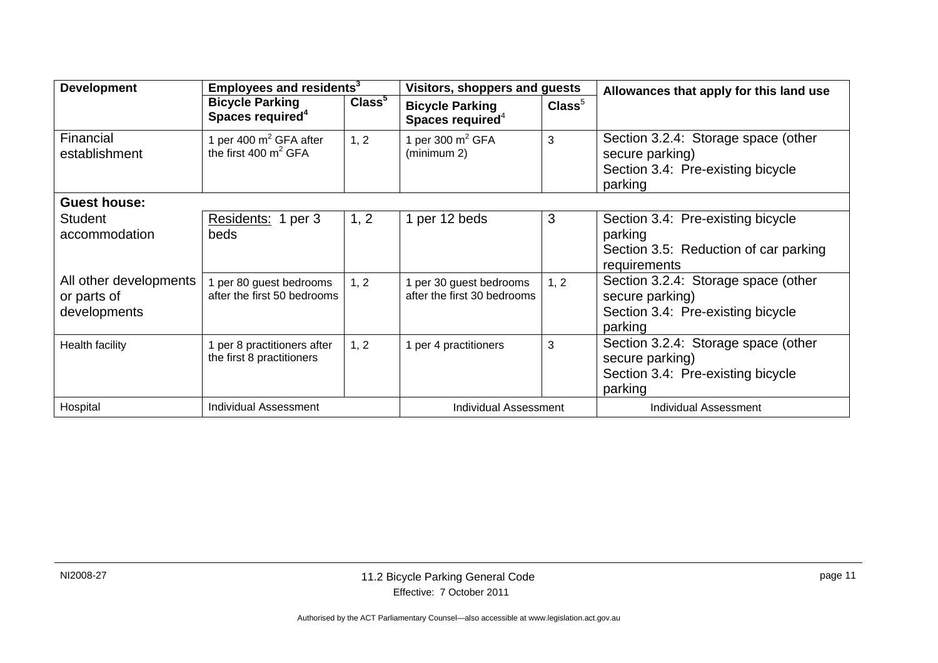| <b>Development</b>                                    | Employees and residents <sup>3</sup>                     |                    | Visitors, shoppers and guests                          |                  | Allowances that apply for this land use                                                                |
|-------------------------------------------------------|----------------------------------------------------------|--------------------|--------------------------------------------------------|------------------|--------------------------------------------------------------------------------------------------------|
|                                                       | <b>Bicycle Parking</b><br>Spaces required <sup>4</sup>   | Class <sup>5</sup> | <b>Bicycle Parking</b><br>Spaces required <sup>4</sup> | $\text{Class}^5$ |                                                                                                        |
| Financial<br>establishment                            | 1 per 400 $m^2$ GFA after<br>the first 400 $m^2$ GFA     | 1, 2               | 1 per 300 $m2$ GFA<br>(minimum 2)                      | 3                | Section 3.2.4: Storage space (other<br>secure parking)<br>Section 3.4: Pre-existing bicycle<br>parking |
| <b>Guest house:</b>                                   |                                                          |                    |                                                        |                  |                                                                                                        |
| <b>Student</b><br>accommodation                       | Residents: 1 per 3<br>beds                               | 1, 2               | 1 per 12 beds                                          | 3                | Section 3.4: Pre-existing bicycle<br>parking<br>Section 3.5: Reduction of car parking<br>requirements  |
| All other developments<br>or parts of<br>developments | per 80 guest bedrooms<br>after the first 50 bedrooms     | 1, 2               | 1 per 30 guest bedrooms<br>after the first 30 bedrooms | 1, 2             | Section 3.2.4: Storage space (other<br>secure parking)<br>Section 3.4: Pre-existing bicycle<br>parking |
| <b>Health facility</b>                                | 1 per 8 practitioners after<br>the first 8 practitioners | 1, 2               | 1 per 4 practitioners                                  | 3                | Section 3.2.4: Storage space (other<br>secure parking)<br>Section 3.4: Pre-existing bicycle<br>parking |
| Hospital                                              | <b>Individual Assessment</b>                             |                    | <b>Individual Assessment</b>                           |                  | <b>Individual Assessment</b>                                                                           |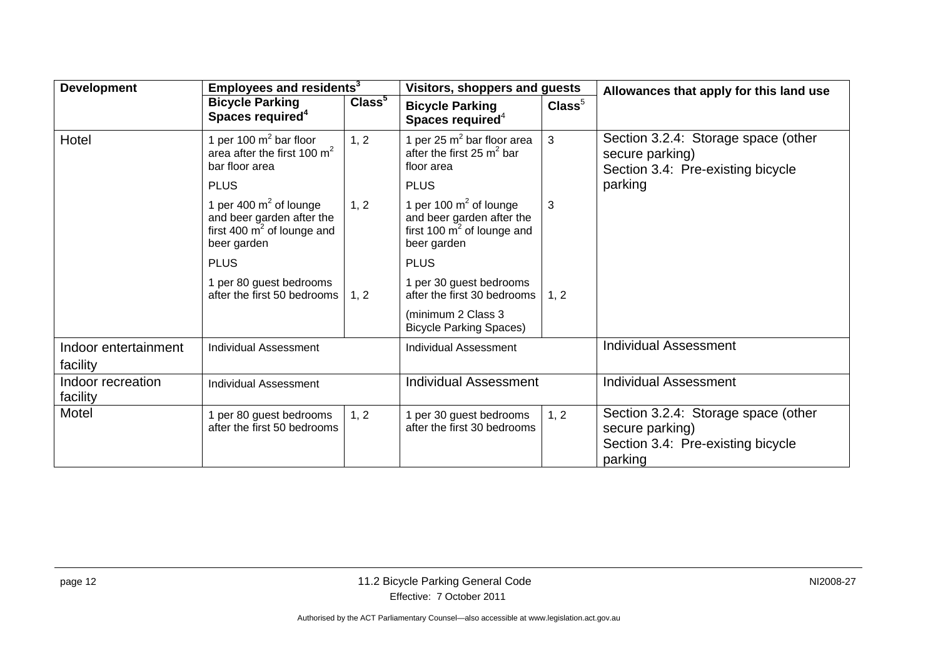| <b>Development</b>                                               | Employees and residents <sup>3</sup>                                                                   |                              | Visitors, shoppers and guests                                                                         |                              | Allowances that apply for this land use                                                                |
|------------------------------------------------------------------|--------------------------------------------------------------------------------------------------------|------------------------------|-------------------------------------------------------------------------------------------------------|------------------------------|--------------------------------------------------------------------------------------------------------|
|                                                                  | <b>Bicycle Parking</b><br>Spaces required <sup>4</sup>                                                 | Class <sup>5</sup>           | <b>Bicycle Parking</b><br>Spaces required <sup>4</sup>                                                | $\text{Class}^5$             |                                                                                                        |
| Hotel                                                            | 1 per 100 $m^2$ bar floor<br>area after the first 100 $m2$<br>bar floor area                           | 1, 2                         | 1 per 25 $m^2$ bar floor area<br>after the first 25 $m^2$ bar<br>floor area                           | 3                            | Section 3.2.4: Storage space (other<br>secure parking)<br>Section 3.4: Pre-existing bicycle            |
|                                                                  | <b>PLUS</b>                                                                                            |                              | <b>PLUS</b>                                                                                           |                              | parking                                                                                                |
|                                                                  | 1 per 400 $m^2$ of lounge<br>and beer garden after the<br>first 400 $m^2$ of lounge and<br>beer garden | 1, 2                         | 1 per 100 $m2$ of lounge<br>and beer garden after the<br>first 100 $m^2$ of lounge and<br>beer garden | 3                            |                                                                                                        |
|                                                                  | <b>PLUS</b>                                                                                            |                              | <b>PLUS</b>                                                                                           |                              |                                                                                                        |
|                                                                  | 1 per 80 guest bedrooms<br>after the first 50 bedrooms                                                 | 1, 2                         | 1 per 30 guest bedrooms<br>after the first 30 bedrooms                                                | 1, 2                         |                                                                                                        |
|                                                                  |                                                                                                        |                              | (minimum 2 Class 3<br><b>Bicycle Parking Spaces)</b>                                                  |                              |                                                                                                        |
| Indoor entertainment<br><b>Individual Assessment</b><br>facility |                                                                                                        | <b>Individual Assessment</b> |                                                                                                       | <b>Individual Assessment</b> |                                                                                                        |
| Indoor recreation<br><b>Individual Assessment</b><br>facility    |                                                                                                        | <b>Individual Assessment</b> |                                                                                                       | <b>Individual Assessment</b> |                                                                                                        |
| Motel                                                            | 1 per 80 guest bedrooms<br>after the first 50 bedrooms                                                 | 1, 2                         | per 30 guest bedrooms<br>after the first 30 bedrooms                                                  | 1, 2                         | Section 3.2.4: Storage space (other<br>secure parking)<br>Section 3.4: Pre-existing bicycle<br>parking |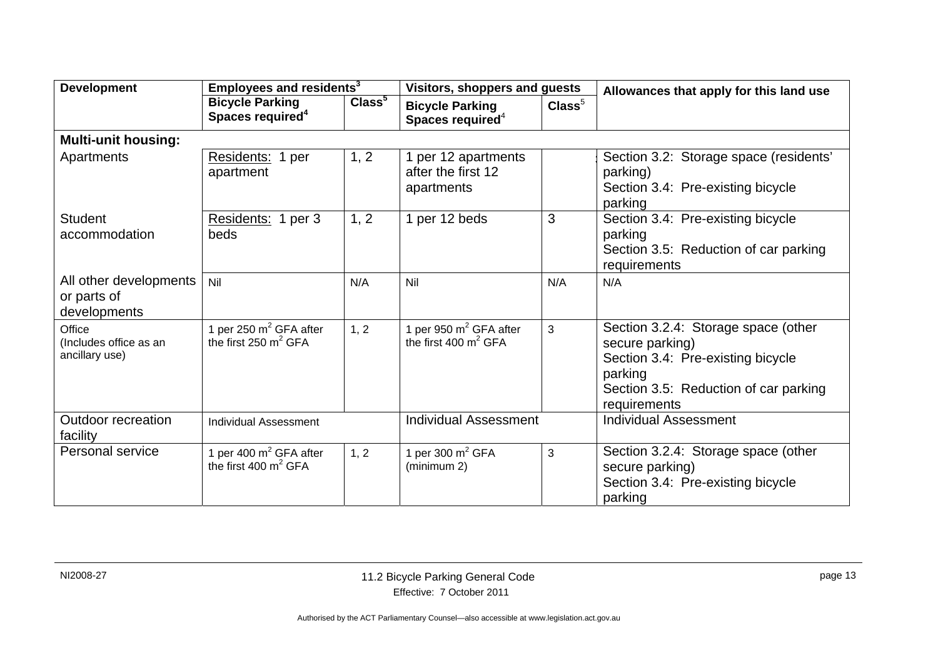| <b>Development</b>                                    | Employees and residents <sup>3</sup>                   |                    | <b>Visitors, shoppers and guests</b>                    |                  | Allowances that apply for this land use                                                                                                                         |
|-------------------------------------------------------|--------------------------------------------------------|--------------------|---------------------------------------------------------|------------------|-----------------------------------------------------------------------------------------------------------------------------------------------------------------|
|                                                       | <b>Bicycle Parking</b><br>Spaces required <sup>4</sup> | Class <sup>5</sup> | <b>Bicycle Parking</b><br>Spaces required <sup>4</sup>  | $\text{Class}^5$ |                                                                                                                                                                 |
| <b>Multi-unit housing:</b>                            |                                                        |                    |                                                         |                  |                                                                                                                                                                 |
| Apartments                                            | Residents: 1 per<br>apartment                          | 1, 2               | 1 per 12 apartments<br>after the first 12<br>apartments |                  | Section 3.2: Storage space (residents'<br>parking)<br>Section 3.4: Pre-existing bicycle<br>parking                                                              |
| <b>Student</b><br>accommodation                       | Residents: 1 per 3<br>beds                             | 1, 2               | 1 per 12 beds                                           | 3                | Section 3.4: Pre-existing bicycle<br>parking<br>Section 3.5: Reduction of car parking<br>requirements                                                           |
| All other developments<br>or parts of<br>developments | Nil                                                    | N/A                | Nil                                                     | N/A              | N/A                                                                                                                                                             |
| Office<br>(Includes office as an<br>ancillary use)    | 1 per 250 $m^2$ GFA after<br>the first 250 $m^2$ GFA   | 1, 2               | 1 per 950 $m^2$ GFA after<br>the first 400 $m^2$ GFA    | 3                | Section 3.2.4: Storage space (other<br>secure parking)<br>Section 3.4: Pre-existing bicycle<br>parking<br>Section 3.5: Reduction of car parking<br>requirements |
| <b>Outdoor recreation</b><br>facility                 | <b>Individual Assessment</b>                           |                    | <b>Individual Assessment</b>                            |                  | <b>Individual Assessment</b>                                                                                                                                    |
| Personal service                                      | 1 per 400 $m^2$ GFA after<br>the first 400 $m^2$ GFA   | 1, 2               | 1 per 300 $m^2$ GFA<br>(minimum 2)                      | 3                | Section 3.2.4: Storage space (other<br>secure parking)<br>Section 3.4: Pre-existing bicycle<br>parking                                                          |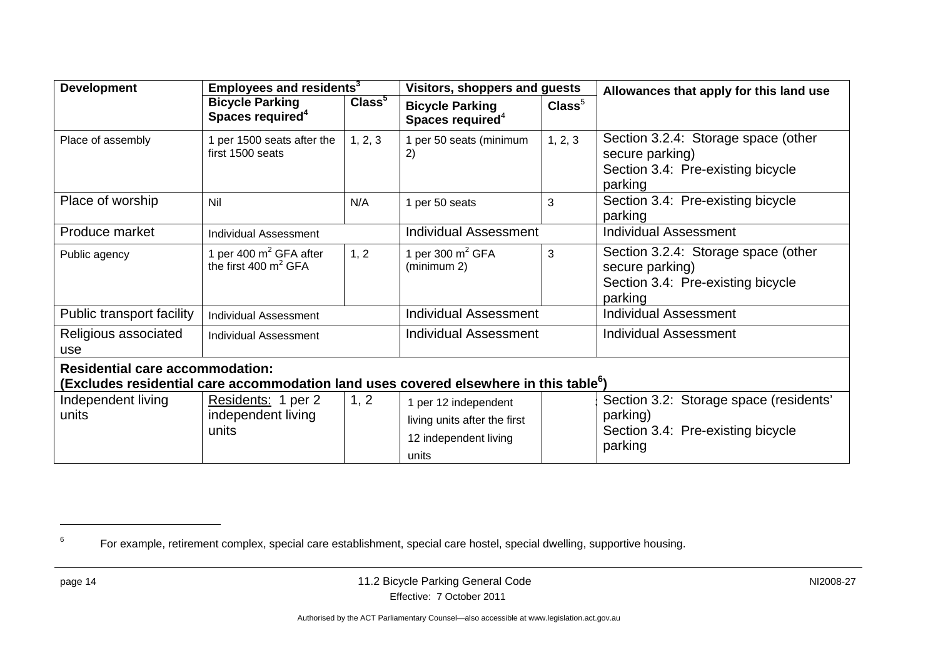| <b>Development</b>                                                                                                                          | Employees and residents <sup>3</sup>                   |                    | Visitors, shoppers and guests                                                          |                  | Allowances that apply for this land use                                                                |  |  |
|---------------------------------------------------------------------------------------------------------------------------------------------|--------------------------------------------------------|--------------------|----------------------------------------------------------------------------------------|------------------|--------------------------------------------------------------------------------------------------------|--|--|
|                                                                                                                                             | <b>Bicycle Parking</b><br>Spaces required <sup>4</sup> | Class <sup>5</sup> | <b>Bicycle Parking</b><br>Spaces required <sup>4</sup>                                 | $\text{Class}^5$ |                                                                                                        |  |  |
| Place of assembly                                                                                                                           | per 1500 seats after the<br>first 1500 seats           | 1, 2, 3            | 1 per 50 seats (minimum<br>2)                                                          | 1, 2, 3          | Section 3.2.4: Storage space (other<br>secure parking)<br>Section 3.4: Pre-existing bicycle<br>parking |  |  |
| Place of worship                                                                                                                            | Nil                                                    | N/A                | 1 per 50 seats                                                                         | 3                | Section 3.4: Pre-existing bicycle<br>parking                                                           |  |  |
| Produce market                                                                                                                              | <b>Individual Assessment</b>                           |                    | <b>Individual Assessment</b>                                                           |                  | <b>Individual Assessment</b>                                                                           |  |  |
| Public agency                                                                                                                               | per 400 $m^2$ GFA after<br>the first 400 $m^2$ GFA     | 1, 2               | 1 per 300 $m^2$ GFA<br>(minimum 2)                                                     | 3                | Section 3.2.4: Storage space (other<br>secure parking)<br>Section 3.4: Pre-existing bicycle<br>parking |  |  |
| Public transport facility                                                                                                                   | <b>Individual Assessment</b>                           |                    | <b>Individual Assessment</b>                                                           |                  | <b>Individual Assessment</b>                                                                           |  |  |
| Religious associated<br>use                                                                                                                 | <b>Individual Assessment</b>                           |                    | <b>Individual Assessment</b>                                                           |                  | <b>Individual Assessment</b>                                                                           |  |  |
| <b>Residential care accommodation:</b><br>(Excludes residential care accommodation land uses covered elsewhere in this table <sup>6</sup> ) |                                                        |                    |                                                                                        |                  |                                                                                                        |  |  |
| Independent living<br>units                                                                                                                 | Residents: 1 per 2<br>independent living<br>units      | 1, 2               | 1 per 12 independent<br>living units after the first<br>12 independent living<br>units |                  | Section 3.2: Storage space (residents'<br>parking)<br>Section 3.4: Pre-existing bicycle<br>parking     |  |  |

<sup>&</sup>lt;sup>6</sup> For example, retirement complex, special care establishment, special care hostel, special dwelling, supportive housing.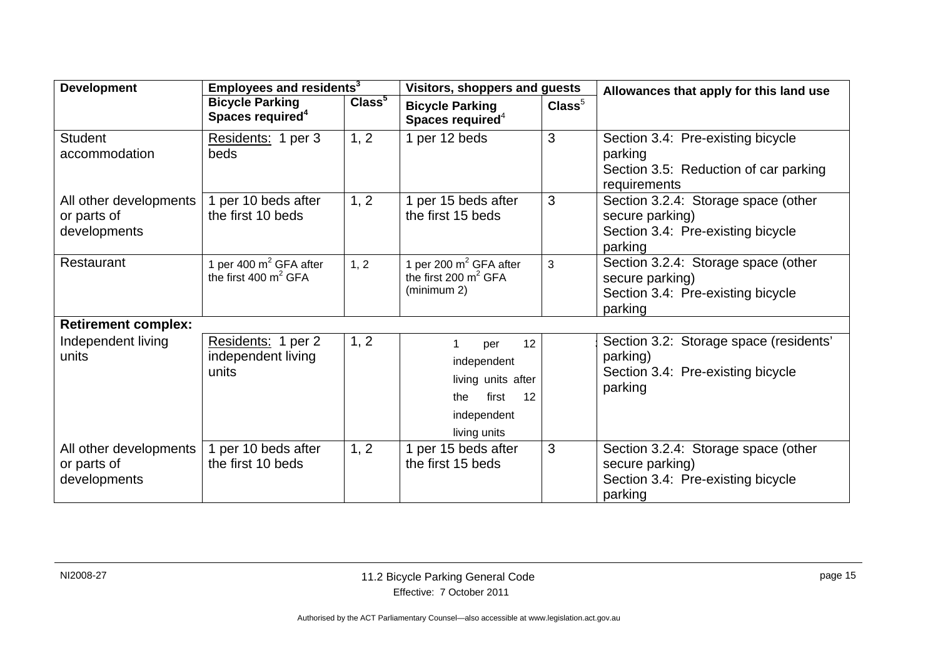| <b>Development</b>                                    | Employees and residents <sup>3</sup>                   |                    | <b>Visitors, shoppers and guests</b>                                                                |                  | Allowances that apply for this land use                                                                |  |  |
|-------------------------------------------------------|--------------------------------------------------------|--------------------|-----------------------------------------------------------------------------------------------------|------------------|--------------------------------------------------------------------------------------------------------|--|--|
|                                                       | <b>Bicycle Parking</b><br>Spaces required <sup>4</sup> | Class <sup>5</sup> | <b>Bicycle Parking</b><br>Spaces required <sup>4</sup>                                              | $\text{Class}^5$ |                                                                                                        |  |  |
| <b>Student</b><br>accommodation                       | Residents: 1 per 3<br>beds                             | 1, 2               | 1 per 12 beds                                                                                       | 3                | Section 3.4: Pre-existing bicycle<br>parking<br>Section 3.5: Reduction of car parking<br>requirements  |  |  |
| All other developments<br>or parts of<br>developments | 1 per 10 beds after<br>the first 10 beds               | 1, 2               | 1 per 15 beds after<br>the first 15 beds                                                            | 3                | Section 3.2.4: Storage space (other<br>secure parking)<br>Section 3.4: Pre-existing bicycle<br>parking |  |  |
| Restaurant                                            | 1 per 400 $m^2$ GFA after<br>the first 400 $m^2$ GFA   | 1, 2               | 1 per 200 $m^2$ GFA after<br>the first 200 $m^2$ GFA<br>(minimum 2)                                 | 3                | Section 3.2.4: Storage space (other<br>secure parking)<br>Section 3.4: Pre-existing bicycle<br>parking |  |  |
| <b>Retirement complex:</b>                            |                                                        |                    |                                                                                                     |                  |                                                                                                        |  |  |
| Independent living<br>units                           | Residents: 1 per 2<br>independent living<br>units      | 1, 2               | 12<br>per<br>independent<br>living units after<br>first<br>12<br>the<br>independent<br>living units |                  | Section 3.2: Storage space (residents'<br>parking)<br>Section 3.4: Pre-existing bicycle<br>parking     |  |  |
| All other developments<br>or parts of<br>developments | per 10 beds after<br>the first 10 beds                 | 1, 2               | 1 per 15 beds after<br>the first 15 beds                                                            | 3                | Section 3.2.4: Storage space (other<br>secure parking)<br>Section 3.4: Pre-existing bicycle<br>parking |  |  |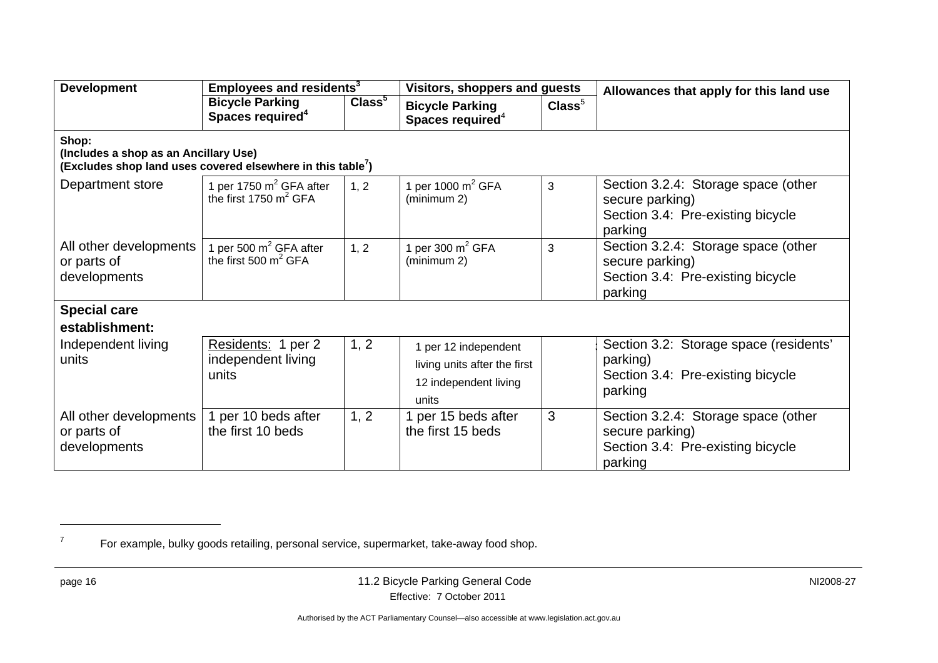| <b>Development</b>                                                                                                        | Employees and residents <sup>3</sup>                          |                    | Visitors, shoppers and guests                                                          |                  | Allowances that apply for this land use                                                                |  |
|---------------------------------------------------------------------------------------------------------------------------|---------------------------------------------------------------|--------------------|----------------------------------------------------------------------------------------|------------------|--------------------------------------------------------------------------------------------------------|--|
|                                                                                                                           | <b>Bicycle Parking</b><br>Spaces required <sup>4</sup>        | Class <sup>5</sup> | <b>Bicycle Parking</b><br>Spaces required <sup>4</sup>                                 | $\text{Class}^5$ |                                                                                                        |  |
| Shop:<br>(Includes a shop as an Ancillary Use)<br>(Excludes shop land uses covered elsewhere in this table <sup>7</sup> ) |                                                               |                    |                                                                                        |                  |                                                                                                        |  |
| Department store                                                                                                          | 1 per 1750 $m^2$ GFA after<br>the first 1750 $m^2$ GFA        | 1, 2               | 1 per 1000 $m^2$ GFA<br>(minimum 2)                                                    | 3                | Section 3.2.4: Storage space (other<br>secure parking)<br>Section 3.4: Pre-existing bicycle<br>parking |  |
| All other developments<br>or parts of<br>developments                                                                     | 1 per 500 m <sup>2</sup> GFA after<br>the first 500 $m^2$ GFA | 1, 2               | 1 per 300 $m^2$ GFA<br>(minimum 2)                                                     | 3                | Section 3.2.4: Storage space (other<br>secure parking)<br>Section 3.4: Pre-existing bicycle<br>parking |  |
| <b>Special care</b>                                                                                                       |                                                               |                    |                                                                                        |                  |                                                                                                        |  |
| establishment:                                                                                                            |                                                               |                    |                                                                                        |                  |                                                                                                        |  |
| Independent living<br>units                                                                                               | Residents: 1 per 2<br>independent living<br>units             | 1, 2               | 1 per 12 independent<br>living units after the first<br>12 independent living<br>units |                  | Section 3.2: Storage space (residents'<br>parking)<br>Section 3.4: Pre-existing bicycle<br>parking     |  |
| All other developments<br>or parts of<br>developments                                                                     | per 10 beds after<br>the first 10 beds                        | 1, 2               | 1 per 15 beds after<br>the first 15 beds                                               | 3                | Section 3.2.4: Storage space (other<br>secure parking)<br>Section 3.4: Pre-existing bicycle<br>parking |  |

 $<sup>7</sup>$  For example, bulky goods retailing, personal service, supermarket, take-away food shop.</sup>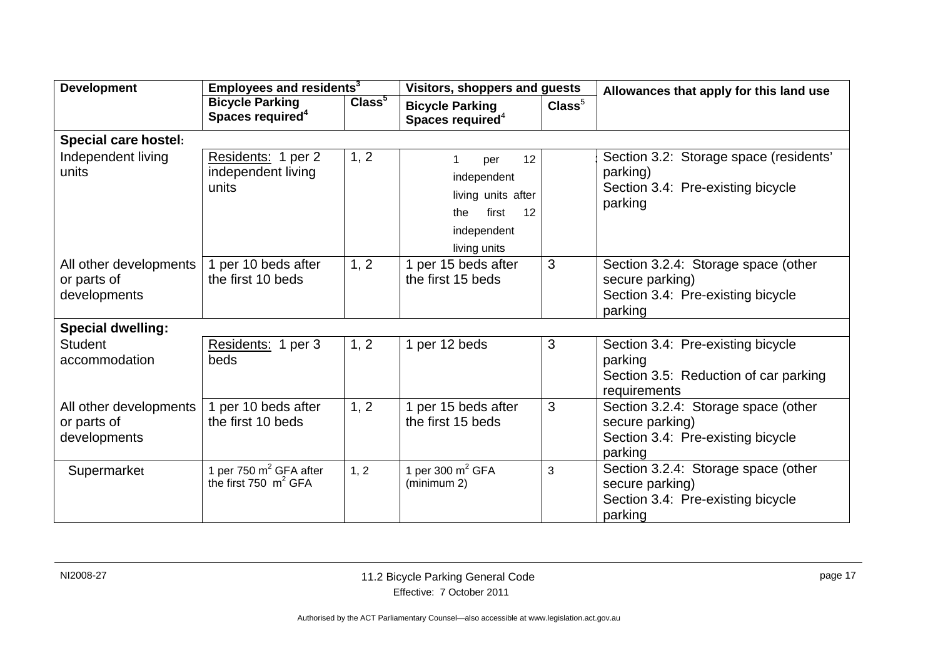| <b>Development</b>                                    | Employees and residents <sup>3</sup>                   |                    | Visitors, shoppers and guests                                                                       |                  | Allowances that apply for this land use                                                                |  |  |
|-------------------------------------------------------|--------------------------------------------------------|--------------------|-----------------------------------------------------------------------------------------------------|------------------|--------------------------------------------------------------------------------------------------------|--|--|
|                                                       | <b>Bicycle Parking</b><br>Spaces required <sup>4</sup> | Class <sup>5</sup> | <b>Bicycle Parking</b><br>Spaces required <sup>4</sup>                                              | $\text{Class}^5$ |                                                                                                        |  |  |
| <b>Special care hostel:</b>                           |                                                        |                    |                                                                                                     |                  |                                                                                                        |  |  |
| Independent living<br>units                           | Residents: 1 per 2<br>independent living<br>units      | 1, 2               | 12<br>per<br>independent<br>living units after<br>first<br>12<br>the<br>independent<br>living units |                  | Section 3.2: Storage space (residents'<br>parking)<br>Section 3.4: Pre-existing bicycle<br>parking     |  |  |
| All other developments<br>or parts of<br>developments | 1 per 10 beds after<br>the first 10 beds               | 1, 2               | 1 per 15 beds after<br>the first 15 beds                                                            | 3                | Section 3.2.4: Storage space (other<br>secure parking)<br>Section 3.4: Pre-existing bicycle<br>parking |  |  |
| <b>Special dwelling:</b>                              |                                                        |                    |                                                                                                     |                  |                                                                                                        |  |  |
| <b>Student</b><br>accommodation                       | Residents: 1 per 3<br>beds                             | 1, 2               | 1 per 12 beds                                                                                       | 3                | Section 3.4: Pre-existing bicycle<br>parking<br>Section 3.5: Reduction of car parking<br>requirements  |  |  |
| All other developments<br>or parts of<br>developments | 1 per 10 beds after<br>the first 10 beds               | 1, 2               | 1 per 15 beds after<br>the first 15 beds                                                            | 3                | Section 3.2.4: Storage space (other<br>secure parking)<br>Section 3.4: Pre-existing bicycle<br>parking |  |  |
| Supermarket                                           | 1 per 750 $m^2$ GFA after<br>the first 750 $m^2$ GFA   | 1, 2               | 1 per 300 $m^2$ GFA<br>(minimum 2)                                                                  | 3                | Section 3.2.4: Storage space (other<br>secure parking)<br>Section 3.4: Pre-existing bicycle<br>parking |  |  |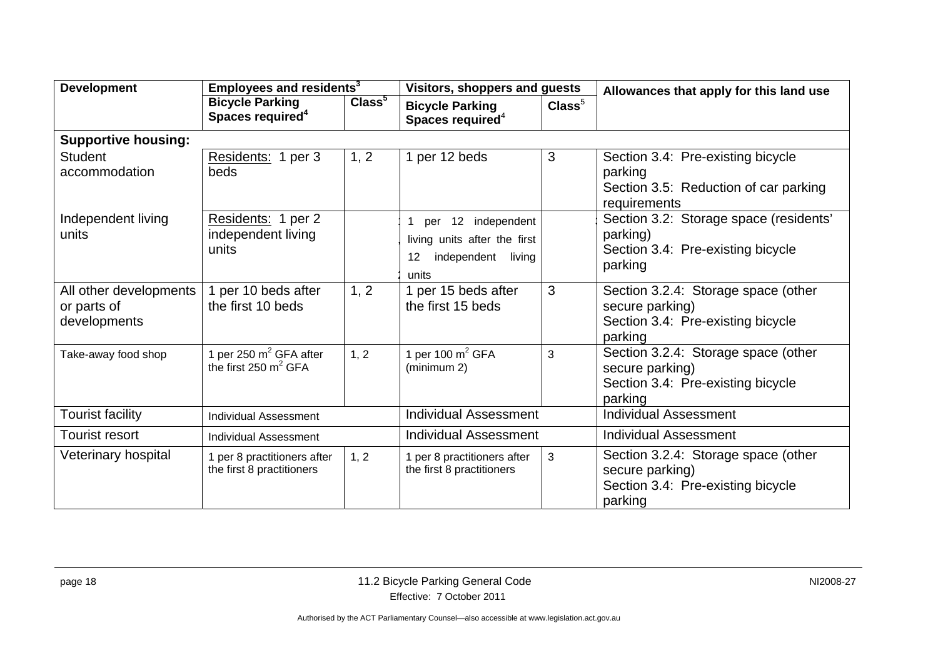| <b>Development</b>                                    | Employees and residents <sup>3</sup>                     |                    | Visitors, shoppers and guests                                                                 |                  | Allowances that apply for this land use                                                                |  |
|-------------------------------------------------------|----------------------------------------------------------|--------------------|-----------------------------------------------------------------------------------------------|------------------|--------------------------------------------------------------------------------------------------------|--|
|                                                       | <b>Bicycle Parking</b><br>Spaces required <sup>4</sup>   | Class <sup>5</sup> | <b>Bicycle Parking</b><br>Spaces required $4$                                                 | $\text{Class}^5$ |                                                                                                        |  |
| <b>Supportive housing:</b>                            |                                                          |                    |                                                                                               |                  |                                                                                                        |  |
| <b>Student</b><br>accommodation                       | Residents: 1 per 3<br>beds                               | 1, 2               | 1 per 12 beds                                                                                 | 3                | Section 3.4: Pre-existing bicycle<br>parking<br>Section 3.5: Reduction of car parking<br>requirements  |  |
| Independent living<br>units                           | Residents: 1 per 2<br>independent living<br>units        |                    | 12 independent<br>per<br>living units after the first<br>independent<br>12<br>living<br>units |                  | Section 3.2: Storage space (residents'<br>parking)<br>Section 3.4: Pre-existing bicycle<br>parking     |  |
| All other developments<br>or parts of<br>developments | 1 per 10 beds after<br>the first 10 beds                 | 1, 2               | 1 per 15 beds after<br>the first 15 beds                                                      | 3                | Section 3.2.4: Storage space (other<br>secure parking)<br>Section 3.4: Pre-existing bicycle<br>parking |  |
| Take-away food shop                                   | 1 per 250 $m^2$ GFA after<br>the first 250 $m^2$ GFA     | 1, 2               | 1 per 100 $m^2$ GFA<br>(minimum 2)                                                            | 3                | Section 3.2.4: Storage space (other<br>secure parking)<br>Section 3.4: Pre-existing bicycle<br>parking |  |
| <b>Tourist facility</b>                               | <b>Individual Assessment</b>                             |                    | <b>Individual Assessment</b>                                                                  |                  | <b>Individual Assessment</b>                                                                           |  |
| Tourist resort                                        | Individual Assessment                                    |                    | <b>Individual Assessment</b>                                                                  |                  | <b>Individual Assessment</b>                                                                           |  |
| Veterinary hospital                                   | 1 per 8 practitioners after<br>the first 8 practitioners | 1, 2               | 1 per 8 practitioners after<br>the first 8 practitioners                                      | 3                | Section 3.2.4: Storage space (other<br>secure parking)<br>Section 3.4: Pre-existing bicycle<br>parking |  |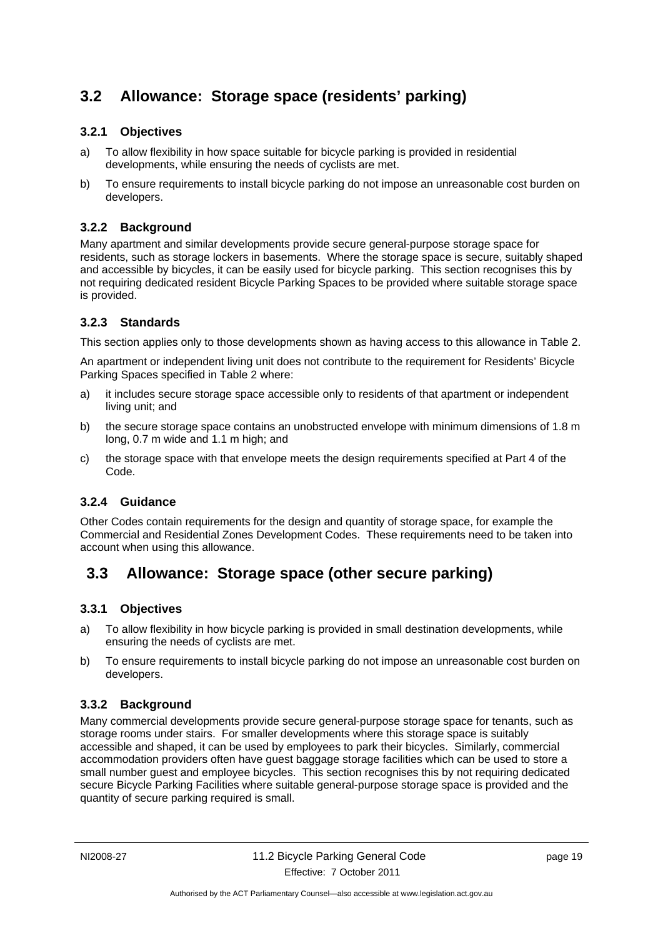# <span id="page-22-0"></span>**3.2 Allowance: Storage space (residents' parking)**

#### <span id="page-22-1"></span>**3.2.1 Objectives**

- a) To allow flexibility in how space suitable for bicycle parking is provided in residential developments, while ensuring the needs of cyclists are met.
- b) To ensure requirements to install bicycle parking do not impose an unreasonable cost burden on developers.

#### <span id="page-22-2"></span>**3.2.2 Background**

Many apartment and similar developments provide secure general-purpose storage space for residents, such as storage lockers in basements. Where the storage space is secure, suitably shaped and accessible by bicycles, it can be easily used for bicycle parking. This section recognises this by not requiring dedicated resident Bicycle Parking Spaces to be provided where suitable storage space is provided.

#### <span id="page-22-3"></span>**3.2.3 Standards**

This section applies only to those developments shown as having access to this allowance in Table 2.

An apartment or independent living unit does not contribute to the requirement for Residents' Bicycle Parking Spaces specified in Table 2 where:

- a) it includes secure storage space accessible only to residents of that apartment or independent living unit; and
- b) the secure storage space contains an unobstructed envelope with minimum dimensions of 1.8 m long, 0.7 m wide and 1.1 m high; and
- c) the storage space with that envelope meets the design requirements specified at Part 4 of the Code.

#### <span id="page-22-4"></span>**3.2.4 Guidance**

Other Codes contain requirements for the design and quantity of storage space, for example the Commercial and Residential Zones Development Codes. These requirements need to be taken into account when using this allowance.

# <span id="page-22-5"></span>**3.3 Allowance: Storage space (other secure parking)**

#### <span id="page-22-6"></span>**3.3.1 Objectives**

- a) To allow flexibility in how bicycle parking is provided in small destination developments, while ensuring the needs of cyclists are met.
- b) To ensure requirements to install bicycle parking do not impose an unreasonable cost burden on developers.

#### <span id="page-22-7"></span>**3.3.2 Background**

Many commercial developments provide secure general-purpose storage space for tenants, such as storage rooms under stairs. For smaller developments where this storage space is suitably accessible and shaped, it can be used by employees to park their bicycles. Similarly, commercial accommodation providers often have guest baggage storage facilities which can be used to store a small number guest and employee bicycles. This section recognises this by not requiring dedicated secure Bicycle Parking Facilities where suitable general-purpose storage space is provided and the quantity of secure parking required is small.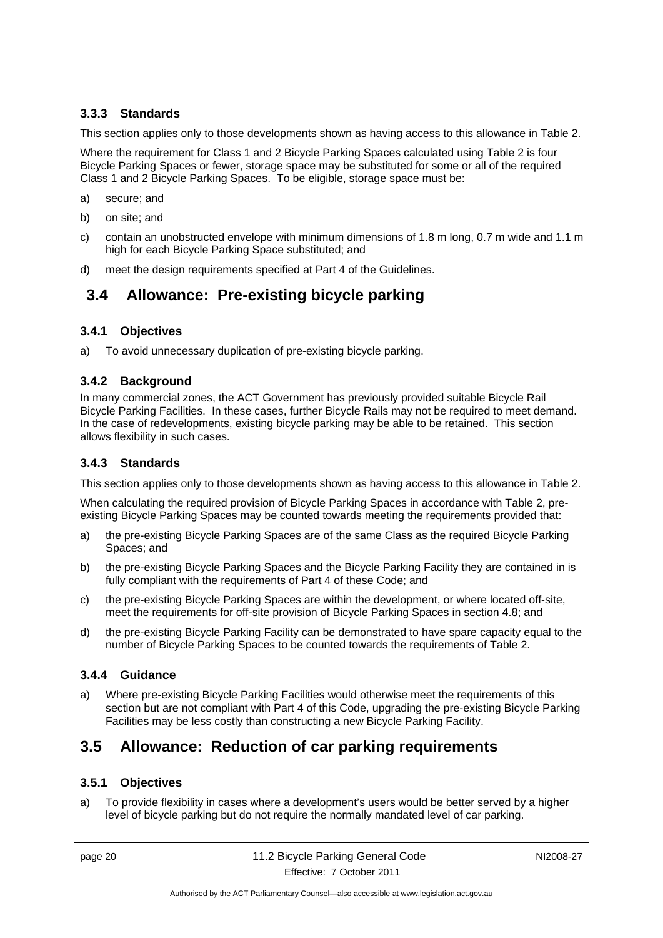#### <span id="page-23-0"></span>**3.3.3 Standards**

This section applies only to those developments shown as having access to this allowance in Table 2.

Where the requirement for Class 1 and 2 Bicycle Parking Spaces calculated using Table 2 is four Bicycle Parking Spaces or fewer, storage space may be substituted for some or all of the required Class 1 and 2 Bicycle Parking Spaces. To be eligible, storage space must be:

- a) secure; and
- b) on site; and
- c) contain an unobstructed envelope with minimum dimensions of 1.8 m long, 0.7 m wide and 1.1 m high for each Bicycle Parking Space substituted; and
- <span id="page-23-1"></span>d) meet the design requirements specified at Part 4 of the Guidelines.

### **3.4 Allowance: Pre-existing bicycle parking**

#### <span id="page-23-2"></span>**3.4.1 Objectives**

a) To avoid unnecessary duplication of pre-existing bicycle parking.

#### <span id="page-23-3"></span>**3.4.2 Background**

In many commercial zones, the ACT Government has previously provided suitable Bicycle Rail Bicycle Parking Facilities. In these cases, further Bicycle Rails may not be required to meet demand. In the case of redevelopments, existing bicycle parking may be able to be retained. This section allows flexibility in such cases.

#### <span id="page-23-4"></span>**3.4.3 Standards**

This section applies only to those developments shown as having access to this allowance in Table 2.

When calculating the required provision of Bicycle Parking Spaces in accordance with Table 2, preexisting Bicycle Parking Spaces may be counted towards meeting the requirements provided that:

- a) the pre-existing Bicycle Parking Spaces are of the same Class as the required Bicycle Parking Spaces; and
- b) the pre-existing Bicycle Parking Spaces and the Bicycle Parking Facility they are contained in is fully compliant with the requirements of Part 4 of these Code; and
- c) the pre-existing Bicycle Parking Spaces are within the development, or where located off-site, meet the requirements for off-site provision of Bicycle Parking Spaces in section 4.8; and
- d) the pre-existing Bicycle Parking Facility can be demonstrated to have spare capacity equal to the number of Bicycle Parking Spaces to be counted towards the requirements of Table 2.

#### <span id="page-23-5"></span>**3.4.4 Guidance**

a) Where pre-existing Bicycle Parking Facilities would otherwise meet the requirements of this section but are not compliant with Part 4 of this Code, upgrading the pre-existing Bicycle Parking Facilities may be less costly than constructing a new Bicycle Parking Facility.

# <span id="page-23-6"></span>**3.5 Allowance: Reduction of car parking requirements**

#### <span id="page-23-7"></span>**3.5.1 Objectives**

a) To provide flexibility in cases where a development's users would be better served by a higher level of bicycle parking but do not require the normally mandated level of car parking.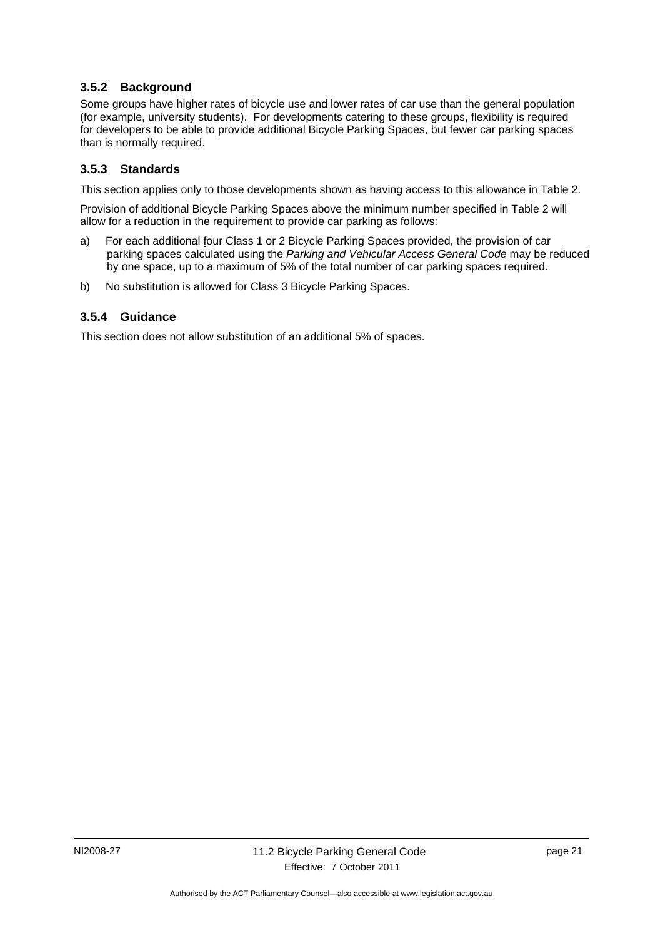#### <span id="page-24-0"></span>**3.5.2 Background**

Some groups have higher rates of bicycle use and lower rates of car use than the general population (for example, university students). For developments catering to these groups, flexibility is required for developers to be able to provide additional Bicycle Parking Spaces, but fewer car parking spaces than is normally required.

#### <span id="page-24-1"></span>**3.5.3 Standards**

This section applies only to those developments shown as having access to this allowance in Table 2.

Provision of additional Bicycle Parking Spaces above the minimum number specified in Table 2 will allow for a reduction in the requirement to provide car parking as follows:

- a) For each additional four Class 1 or 2 Bicycle Parking Spaces provided, the provision of car parking spaces calculated using the *Parking and Vehicular Access General Code* may be reduced by one space, up to a maximum of 5% of the total number of car parking spaces required.
- b) No substitution is allowed for Class 3 Bicycle Parking Spaces.

#### <span id="page-24-2"></span>**3.5.4 Guidance**

This section does not allow substitution of an additional 5% of spaces.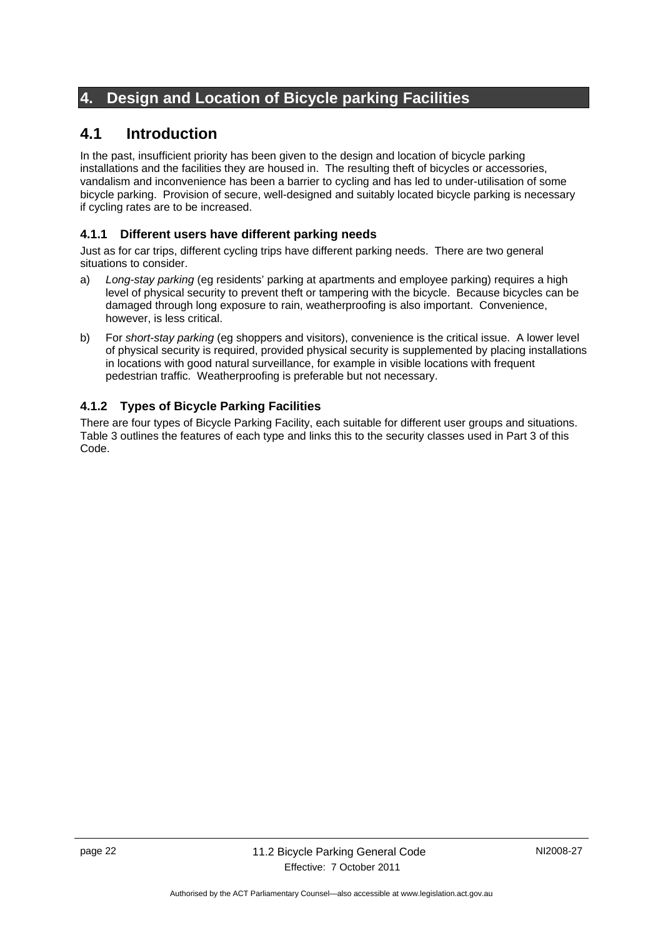# <span id="page-25-0"></span>**4. Design and Location of Bicycle parking Facilities**

# <span id="page-25-1"></span>**4.1 Introduction**

In the past, insufficient priority has been given to the design and location of bicycle parking installations and the facilities they are housed in. The resulting theft of bicycles or accessories, vandalism and inconvenience has been a barrier to cycling and has led to under-utilisation of some bicycle parking. Provision of secure, well-designed and suitably located bicycle parking is necessary if cycling rates are to be increased.

#### <span id="page-25-2"></span>**4.1.1 Different users have different parking needs**

Just as for car trips, different cycling trips have different parking needs. There are two general situations to consider.

- a) *Long-stay parking* (eg residents' parking at apartments and employee parking) requires a high level of physical security to prevent theft or tampering with the bicycle. Because bicycles can be damaged through long exposure to rain, weatherproofing is also important. Convenience, however, is less critical.
- b) For *short-stay parking* (eg shoppers and visitors), convenience is the critical issue. A lower level of physical security is required, provided physical security is supplemented by placing installations in locations with good natural surveillance, for example in visible locations with frequent pedestrian traffic. Weatherproofing is preferable but not necessary.

#### <span id="page-25-3"></span>**4.1.2 Types of Bicycle Parking Facilities**

There are four types of Bicycle Parking Facility, each suitable for different user groups and situations. Table 3 outlines the features of each type and links this to the security classes used in Part 3 of this Code.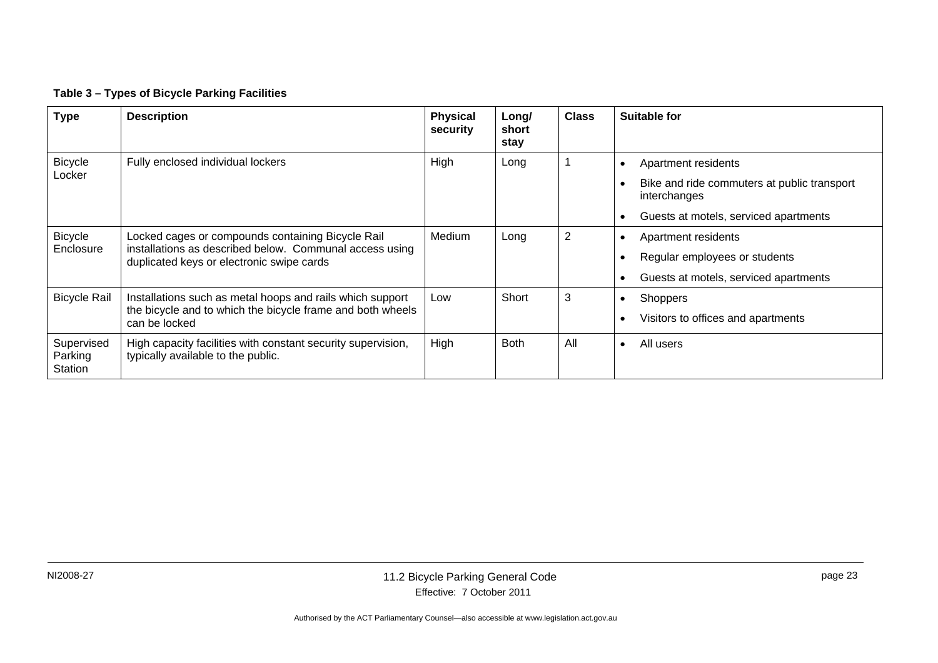#### **Table 3 – Types of Bicycle Parking Facilities**

| <b>Type</b>                      | <b>Description</b>                                                                                                                                        | <b>Physical</b><br>security | Long/<br>short<br>stay | <b>Class</b> | <b>Suitable for</b>                                                                                        |
|----------------------------------|-----------------------------------------------------------------------------------------------------------------------------------------------------------|-----------------------------|------------------------|--------------|------------------------------------------------------------------------------------------------------------|
| <b>Bicycle</b><br>Locker         | Fully enclosed individual lockers                                                                                                                         | High                        | Long                   |              | Apartment residents<br>$\bullet$<br>Bike and ride commuters at public transport                            |
|                                  |                                                                                                                                                           |                             |                        |              | interchanges<br>Guests at motels, serviced apartments                                                      |
| <b>Bicycle</b><br>Enclosure      | Locked cages or compounds containing Bicycle Rail<br>installations as described below. Communal access using<br>duplicated keys or electronic swipe cards | Medium                      | Long                   | 2            | Apartment residents<br>$\bullet$<br>Regular employees or students<br>Guests at motels, serviced apartments |
| <b>Bicycle Rail</b>              | Installations such as metal hoops and rails which support<br>the bicycle and to which the bicycle frame and both wheels<br>can be locked                  | Low                         | Short                  | 3            | <b>Shoppers</b><br>$\bullet$<br>Visitors to offices and apartments                                         |
| Supervised<br>Parking<br>Station | High capacity facilities with constant security supervision,<br>typically available to the public.                                                        | High                        | <b>Both</b>            | All          | All users<br>$\bullet$                                                                                     |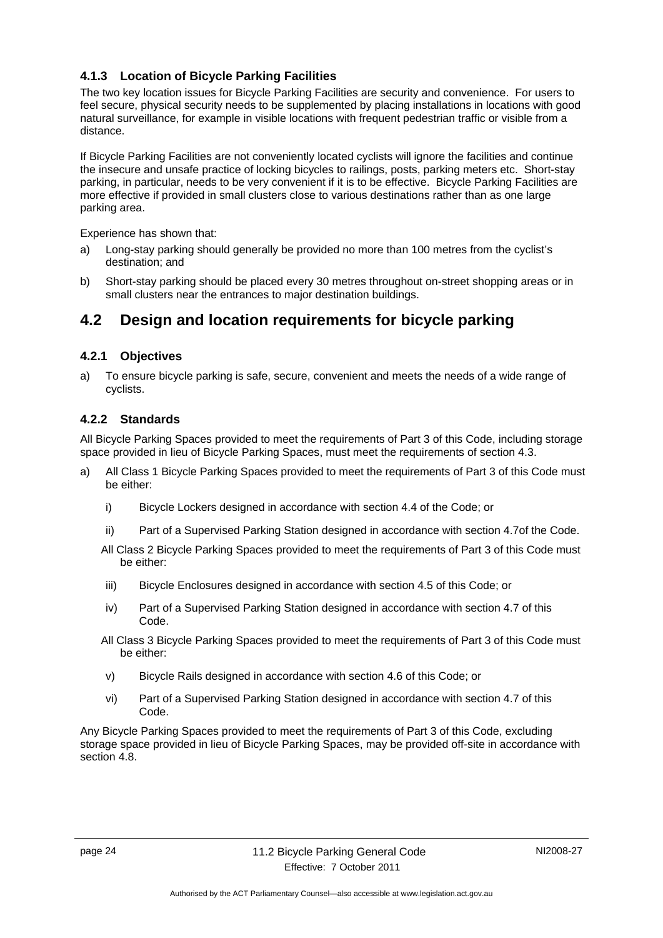#### <span id="page-27-0"></span>**4.1.3 Location of Bicycle Parking Facilities**

The two key location issues for Bicycle Parking Facilities are security and convenience. For users to feel secure, physical security needs to be supplemented by placing installations in locations with good natural surveillance, for example in visible locations with frequent pedestrian traffic or visible from a distance.

If Bicycle Parking Facilities are not conveniently located cyclists will ignore the facilities and continue the insecure and unsafe practice of locking bicycles to railings, posts, parking meters etc. Short-stay parking, in particular, needs to be very convenient if it is to be effective. Bicycle Parking Facilities are more effective if provided in small clusters close to various destinations rather than as one large parking area.

Experience has shown that:

- a) Long-stay parking should generally be provided no more than 100 metres from the cyclist's destination; and
- b) Short-stay parking should be placed every 30 metres throughout on-street shopping areas or in small clusters near the entrances to major destination buildings.

# <span id="page-27-1"></span>**4.2 Design and location requirements for bicycle parking**

#### <span id="page-27-2"></span>**4.2.1 Objectives**

a) To ensure bicycle parking is safe, secure, convenient and meets the needs of a wide range of cyclists.

#### <span id="page-27-3"></span>**4.2.2 Standards**

All Bicycle Parking Spaces provided to meet the requirements of Part 3 of this Code, including storage space provided in lieu of Bicycle Parking Spaces, must meet the requirements of section 4.3.

- a) All Class 1 Bicycle Parking Spaces provided to meet the requirements of Part 3 of this Code must be either:
	- i) Bicycle Lockers designed in accordance with section 4.4 of the Code; or
	- ii) Part of a Supervised Parking Station designed in accordance with section 4.7of the Code.
	- All Class 2 Bicycle Parking Spaces provided to meet the requirements of Part 3 of this Code must be either:
	- iii) Bicycle Enclosures designed in accordance with section 4.5 of this Code; or
	- iv) Part of a Supervised Parking Station designed in accordance with section 4.7 of this Code.
	- All Class 3 Bicycle Parking Spaces provided to meet the requirements of Part 3 of this Code must be either:
	- v) Bicycle Rails designed in accordance with section 4.6 of this Code; or
	- vi) Part of a Supervised Parking Station designed in accordance with section 4.7 of this Code.

Any Bicycle Parking Spaces provided to meet the requirements of Part 3 of this Code, excluding storage space provided in lieu of Bicycle Parking Spaces, may be provided off-site in accordance with section 4.8.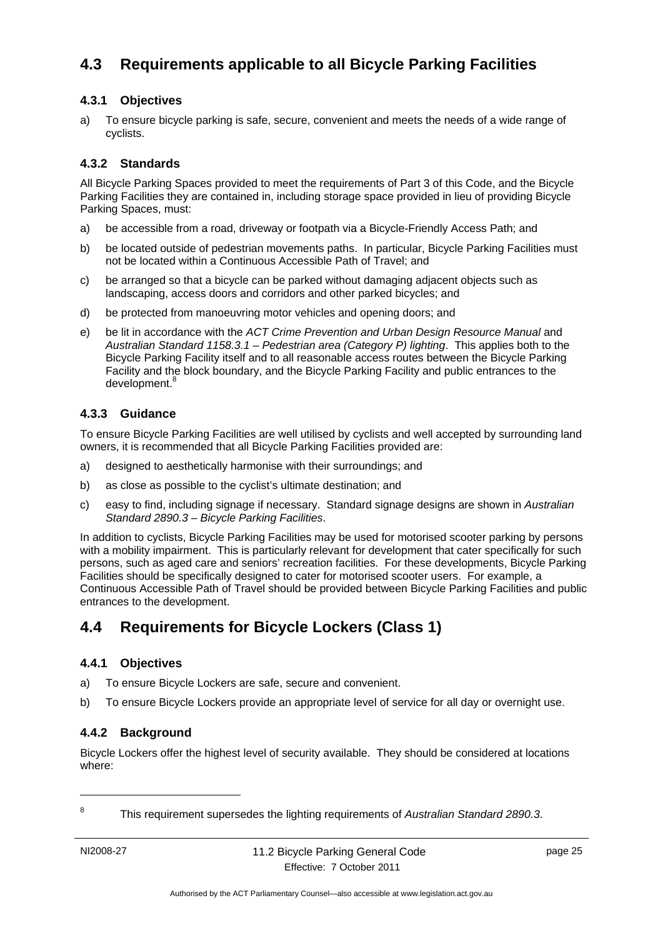# <span id="page-28-0"></span>**4.3 Requirements applicable to all Bicycle Parking Facilities**

#### <span id="page-28-1"></span>**4.3.1 Objectives**

a) To ensure bicycle parking is safe, secure, convenient and meets the needs of a wide range of cyclists.

#### <span id="page-28-2"></span>**4.3.2 Standards**

All Bicycle Parking Spaces provided to meet the requirements of Part 3 of this Code, and the Bicycle Parking Facilities they are contained in, including storage space provided in lieu of providing Bicycle Parking Spaces, must:

- a) be accessible from a road, driveway or footpath via a Bicycle-Friendly Access Path; and
- b) be located outside of pedestrian movements paths. In particular, Bicycle Parking Facilities must not be located within a Continuous Accessible Path of Travel; and
- c) be arranged so that a bicycle can be parked without damaging adjacent objects such as landscaping, access doors and corridors and other parked bicycles; and
- d) be protected from manoeuvring motor vehicles and opening doors; and
- e) be lit in accordance with the *ACT Crime Prevention and Urban Design Resource Manual* and *Australian Standard 1158.3.1 – Pedestrian area (Category P) lighting*. This applies both to the Bicycle Parking Facility itself and to all reasonable access routes between the Bicycle Parking Facility and the block boundary, and the Bicycle Parking Facility and public entrances to the development.<sup>8</sup>

#### <span id="page-28-3"></span>**4.3.3 Guidance**

To ensure Bicycle Parking Facilities are well utilised by cyclists and well accepted by surrounding land owners, it is recommended that all Bicycle Parking Facilities provided are:

- a) designed to aesthetically harmonise with their surroundings; and
- b) as close as possible to the cyclist's ultimate destination; and
- c) easy to find, including signage if necessary. Standard signage designs are shown in *Australian Standard 2890.3 – Bicycle Parking Facilities*.

In addition to cyclists, Bicycle Parking Facilities may be used for motorised scooter parking by persons with a mobility impairment. This is particularly relevant for development that cater specifically for such persons, such as aged care and seniors' recreation facilities. For these developments, Bicycle Parking Facilities should be specifically designed to cater for motorised scooter users. For example, a Continuous Accessible Path of Travel should be provided between Bicycle Parking Facilities and public entrances to the development.

# <span id="page-28-4"></span>**4.4 Requirements for Bicycle Lockers (Class 1)**

#### <span id="page-28-5"></span>**4.4.1 Objectives**

- a) To ensure Bicycle Lockers are safe, secure and convenient.
- b) To ensure Bicycle Lockers provide an appropriate level of service for all day or overnight use.

#### <span id="page-28-6"></span>**4.4.2 Background**

Bicycle Lockers offer the highest level of security available. They should be considered at locations where:

1 8

This requirement supersedes the lighting requirements of *Australian Standard 2890.3*.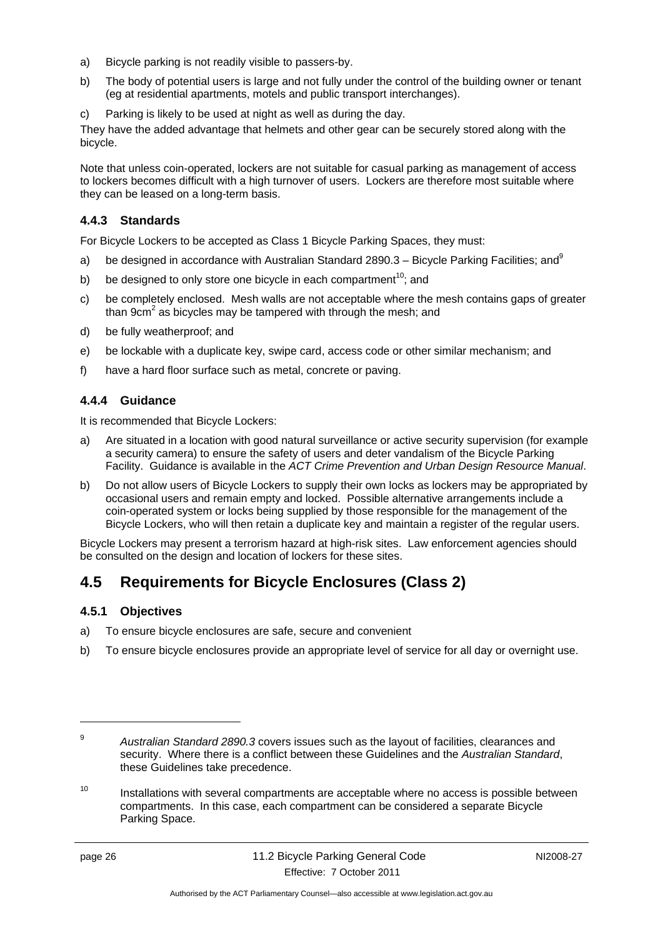- a) Bicycle parking is not readily visible to passers-by.
- b) The body of potential users is large and not fully under the control of the building owner or tenant (eg at residential apartments, motels and public transport interchanges).
- c) Parking is likely to be used at night as well as during the day.

They have the added advantage that helmets and other gear can be securely stored along with the bicycle.

Note that unless coin-operated, lockers are not suitable for casual parking as management of access to lockers becomes difficult with a high turnover of users. Lockers are therefore most suitable where they can be leased on a long-term basis.

#### <span id="page-29-0"></span>**4.4.3 Standards**

For Bicycle Lockers to be accepted as Class 1 Bicycle Parking Spaces, they must:

- a) be designed in accordance with Australian Standard 2890.3 Bicycle Parking Facilities; and  $9$
- b) be designed to only store one bicycle in each compartment<sup>10</sup>; and
- c) be completely enclosed. Mesh walls are not acceptable where the mesh contains gaps of greater than 9 $cm<sup>2</sup>$  as bicycles may be tampered with through the mesh; and
- d) be fully weatherproof; and
- e) be lockable with a duplicate key, swipe card, access code or other similar mechanism; and
- f) have a hard floor surface such as metal, concrete or paving.

#### <span id="page-29-1"></span>**4.4.4 Guidance**

It is recommended that Bicycle Lockers:

- a) Are situated in a location with good natural surveillance or active security supervision (for example a security camera) to ensure the safety of users and deter vandalism of the Bicycle Parking Facility. Guidance is available in the *ACT Crime Prevention and Urban Design Resource Manual*.
- b) Do not allow users of Bicycle Lockers to supply their own locks as lockers may be appropriated by occasional users and remain empty and locked. Possible alternative arrangements include a coin-operated system or locks being supplied by those responsible for the management of the Bicycle Lockers, who will then retain a duplicate key and maintain a register of the regular users.

Bicycle Lockers may present a terrorism hazard at high-risk sites. Law enforcement agencies should be consulted on the design and location of lockers for these sites.

# <span id="page-29-2"></span>**4.5 Requirements for Bicycle Enclosures (Class 2)**

#### <span id="page-29-3"></span>**4.5.1 Objectives**

- a) To ensure bicycle enclosures are safe, secure and convenient
- b) To ensure bicycle enclosures provide an appropriate level of service for all day or overnight use.

<u>.</u>

<sup>9</sup> *Australian Standard 2890.3* covers issues such as the layout of facilities, clearances and security. Where there is a conflict between these Guidelines and the *Australian Standard*, these Guidelines take precedence.

 $10$  Installations with several compartments are acceptable where no access is possible between compartments. In this case, each compartment can be considered a separate Bicycle Parking Space.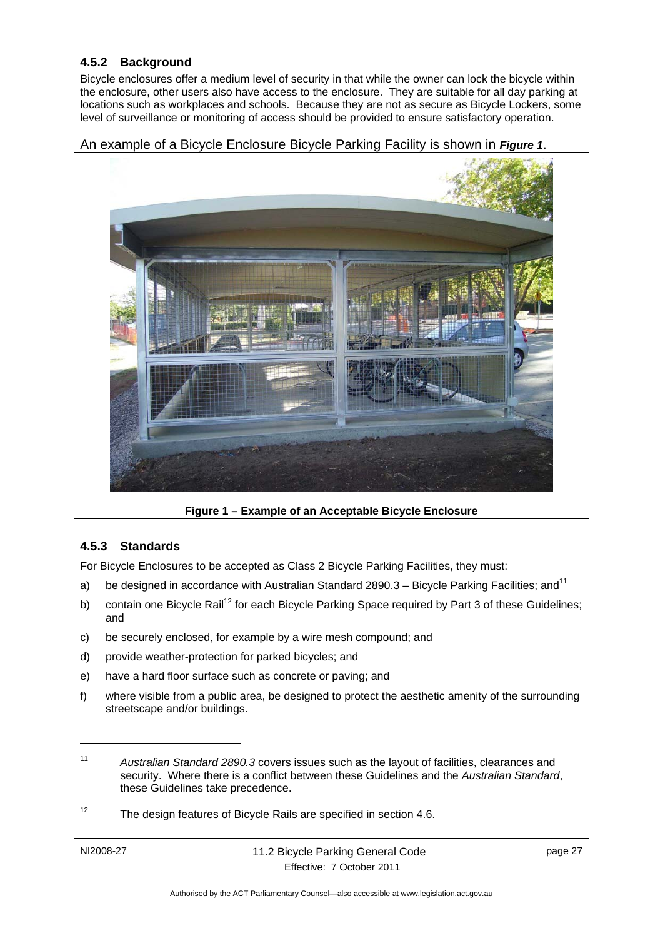#### <span id="page-30-0"></span>**4.5.2 Background**

Bicycle enclosures offer a medium level of security in that while the owner can lock the bicycle within the enclosure, other users also have access to the enclosure. They are suitable for all day parking at locations such as workplaces and schools. Because they are not as secure as Bicycle Lockers, some level of surveillance or monitoring of access should be provided to ensure satisfactory operation.

#### An example of a Bicycle Enclosure Bicycle Parking Facility is shown in *Figure 1*.



**Figure 1 – Example of an Acceptable Bicycle Enclosure** 

#### <span id="page-30-1"></span>**4.5.3 Standards**

For Bicycle Enclosures to be accepted as Class 2 Bicycle Parking Facilities, they must:

- a) be designed in accordance with Australian Standard 2890.3 Bicycle Parking Facilities; and<sup>11</sup>
- b) contain one Bicycle Rail<sup>12</sup> for each Bicycle Parking Space required by Part 3 of these Guidelines; and
- c) be securely enclosed, for example by a wire mesh compound; and
- d) provide weather-protection for parked bicycles; and
- e) have a hard floor surface such as concrete or paving; and
- f) where visible from a public area, be designed to protect the aesthetic amenity of the surrounding streetscape and/or buildings.

<sup>12</sup> The design features of Bicycle Rails are specified in section 4.6.

1

<sup>11</sup> *Australian Standard 2890.3* covers issues such as the layout of facilities, clearances and security. Where there is a conflict between these Guidelines and the *Australian Standard*, these Guidelines take precedence.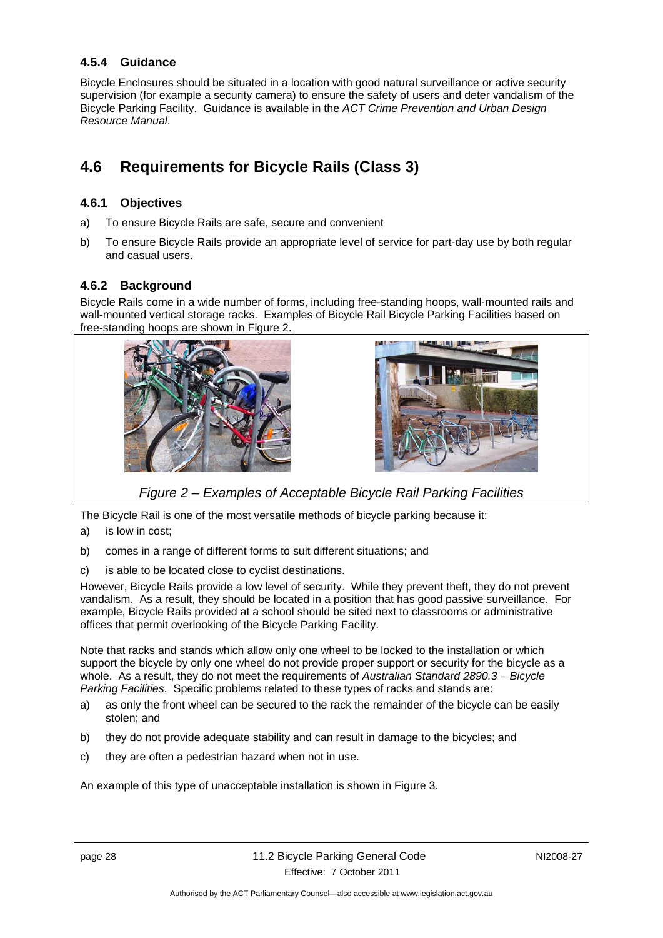#### <span id="page-31-0"></span>**4.5.4 Guidance**

Bicycle Enclosures should be situated in a location with good natural surveillance or active security supervision (for example a security camera) to ensure the safety of users and deter vandalism of the Bicycle Parking Facility. Guidance is available in the *ACT Crime Prevention and Urban Design Resource Manual*.

# <span id="page-31-1"></span>**4.6 Requirements for Bicycle Rails (Class 3)**

#### <span id="page-31-2"></span>**4.6.1 Objectives**

- a) To ensure Bicycle Rails are safe, secure and convenient
- b) To ensure Bicycle Rails provide an appropriate level of service for part-day use by both regular and casual users.

#### <span id="page-31-3"></span>**4.6.2 Background**

Bicycle Rails come in a wide number of forms, including free-standing hoops, wall-mounted rails and wall-mounted vertical storage racks. Examples of Bicycle Rail Bicycle Parking Facilities based on free-standing hoops are shown in Figure 2.



*Figure 2 – Examples of Acceptable Bicycle Rail Parking Facilities* 

The Bicycle Rail is one of the most versatile methods of bicycle parking because it:

- a) is low in cost;
- b) comes in a range of different forms to suit different situations; and
- c) is able to be located close to cyclist destinations.

However, Bicycle Rails provide a low level of security. While they prevent theft, they do not prevent vandalism. As a result, they should be located in a position that has good passive surveillance. For example, Bicycle Rails provided at a school should be sited next to classrooms or administrative offices that permit overlooking of the Bicycle Parking Facility.

Note that racks and stands which allow only one wheel to be locked to the installation or which support the bicycle by only one wheel do not provide proper support or security for the bicycle as a whole. As a result, they do not meet the requirements of *Australian Standard 2890.3 – Bicycle Parking Facilities*. Specific problems related to these types of racks and stands are:

- a) as only the front wheel can be secured to the rack the remainder of the bicycle can be easily stolen; and
- b) they do not provide adequate stability and can result in damage to the bicycles; and
- c) they are often a pedestrian hazard when not in use.

An example of this type of unacceptable installation is shown in Figure 3.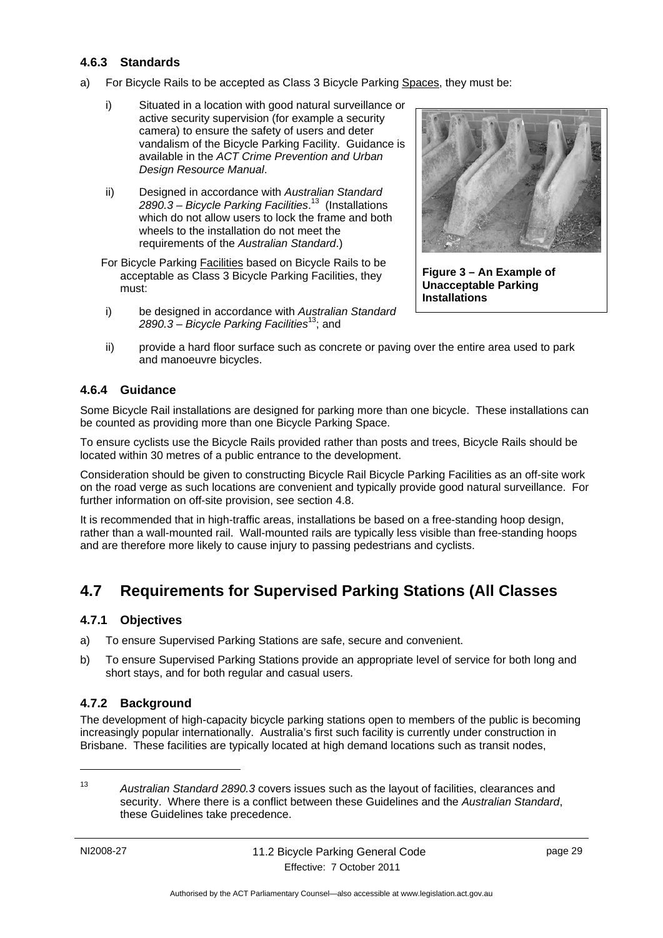#### <span id="page-32-0"></span>**4.6.3 Standards**

- a) For Bicycle Rails to be accepted as Class 3 Bicycle Parking Spaces, they must be:
	- i) Situated in a location with good natural surveillance or active security supervision (for example a security camera) to ensure the safety of users and deter vandalism of the Bicycle Parking Facility. Guidance is available in the *ACT Crime Prevention and Urban Design Resource Manual*.
	- ii) Designed in accordance with *Australian Standard 2890.3 – Bicycle Parking Facilities*. 13 (Installations which do not allow users to lock the frame and both wheels to the installation do not meet the requirements of the *Australian Standard*.)

For Bicycle Parking Facilities based on Bicycle Rails to be acceptable as Class 3 Bicycle Parking Facilities, they must:

i) be designed in accordance with *Australian Standard 2890.3 – Bicycle Parking Facilities*13; and



**Figure 3 – An Example of Unacceptable Parking Installations** 

ii) provide a hard floor surface such as concrete or paving over the entire area used to park and manoeuvre bicycles.

#### <span id="page-32-1"></span>**4.6.4 Guidance**

Some Bicycle Rail installations are designed for parking more than one bicycle. These installations can be counted as providing more than one Bicycle Parking Space.

To ensure cyclists use the Bicycle Rails provided rather than posts and trees, Bicycle Rails should be located within 30 metres of a public entrance to the development.

Consideration should be given to constructing Bicycle Rail Bicycle Parking Facilities as an off-site work on the road verge as such locations are convenient and typically provide good natural surveillance. For further information on off-site provision, see section 4.8.

It is recommended that in high-traffic areas, installations be based on a free-standing hoop design, rather than a wall-mounted rail. Wall-mounted rails are typically less visible than free-standing hoops and are therefore more likely to cause injury to passing pedestrians and cyclists.

# <span id="page-32-2"></span>**4.7 Requirements for Supervised Parking Stations (All Classes)**

#### <span id="page-32-3"></span>**4.7.1 Objectives**

- a) To ensure Supervised Parking Stations are safe, secure and convenient.
- b) To ensure Supervised Parking Stations provide an appropriate level of service for both long and short stays, and for both regular and casual users.

#### <span id="page-32-4"></span>**4.7.2 Background**

The development of high-capacity bicycle parking stations open to members of the public is becoming increasingly popular internationally. Australia's first such facility is currently under construction in Brisbane. These facilities are typically located at high demand locations such as transit nodes,

<sup>13</sup> *Australian Standard 2890.3* covers issues such as the layout of facilities, clearances and security. Where there is a conflict between these Guidelines and the *Australian Standard*, these Guidelines take precedence.

1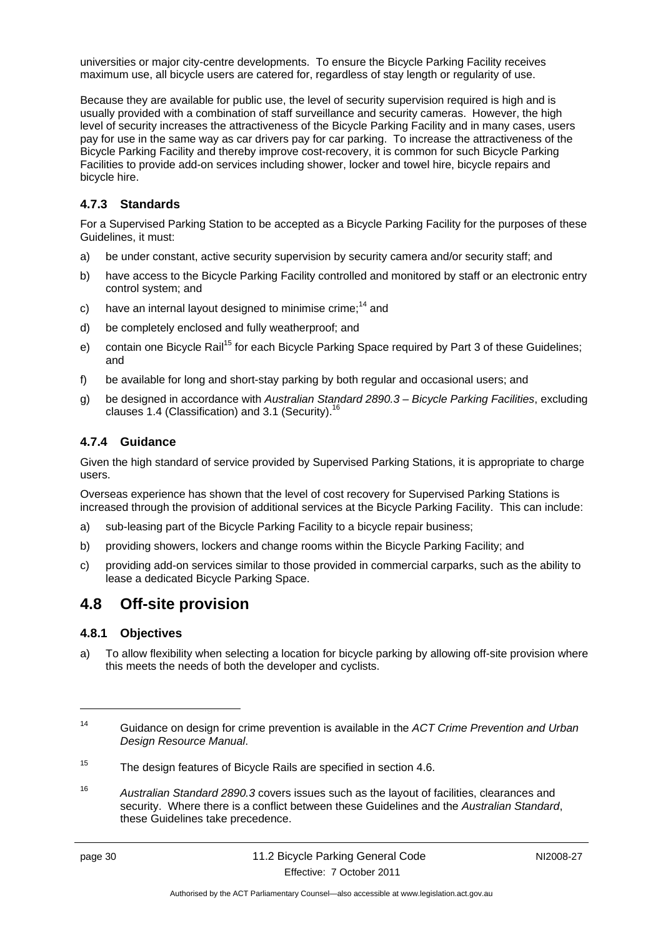universities or major city-centre developments. To ensure the Bicycle Parking Facility receives maximum use, all bicycle users are catered for, regardless of stay length or regularity of use.

Because they are available for public use, the level of security supervision required is high and is usually provided with a combination of staff surveillance and security cameras. However, the high level of security increases the attractiveness of the Bicycle Parking Facility and in many cases, users pay for use in the same way as car drivers pay for car parking. To increase the attractiveness of the Bicycle Parking Facility and thereby improve cost-recovery, it is common for such Bicycle Parking Facilities to provide add-on services including shower, locker and towel hire, bicycle repairs and bicycle hire.

#### <span id="page-33-0"></span>**4.7.3 Standards**

For a Supervised Parking Station to be accepted as a Bicycle Parking Facility for the purposes of these Guidelines, it must:

- a) be under constant, active security supervision by security camera and/or security staff; and
- b) have access to the Bicycle Parking Facility controlled and monitored by staff or an electronic entry control system; and
- c) have an internal layout designed to minimise crime;<sup>14</sup> and
- d) be completely enclosed and fully weatherproof; and
- e) contain one Bicycle Rail<sup>15</sup> for each Bicycle Parking Space required by Part 3 of these Guidelines; and
- f) be available for long and short-stay parking by both regular and occasional users; and
- g) be designed in accordance with *Australian Standard 2890.3 Bicycle Parking Facilities*, excluding clauses 1.4 (Classification) and 3.1 (Security).<sup>16</sup>

#### <span id="page-33-1"></span>**4.7.4 Guidance**

Given the high standard of service provided by Supervised Parking Stations, it is appropriate to charge users.

Overseas experience has shown that the level of cost recovery for Supervised Parking Stations is increased through the provision of additional services at the Bicycle Parking Facility. This can include:

- a) sub-leasing part of the Bicycle Parking Facility to a bicycle repair business;
- b) providing showers, lockers and change rooms within the Bicycle Parking Facility; and
- c) providing add-on services similar to those provided in commercial carparks, such as the ability to lease a dedicated Bicycle Parking Space.

### <span id="page-33-2"></span>**4.8 Off-site provision**

#### <span id="page-33-3"></span>**4.8.1 Objectives**

a) To allow flexibility when selecting a location for bicycle parking by allowing off-site provision where this meets the needs of both the developer and cyclists.

16 *Australian Standard 2890.3* covers issues such as the layout of facilities, clearances and security. Where there is a conflict between these Guidelines and the *Australian Standard*, these Guidelines take precedence.

<u>.</u>

<sup>14</sup> Guidance on design for crime prevention is available in the *ACT Crime Prevention and Urban Design Resource Manual*.

<sup>&</sup>lt;sup>15</sup> The design features of Bicycle Rails are specified in section 4.6.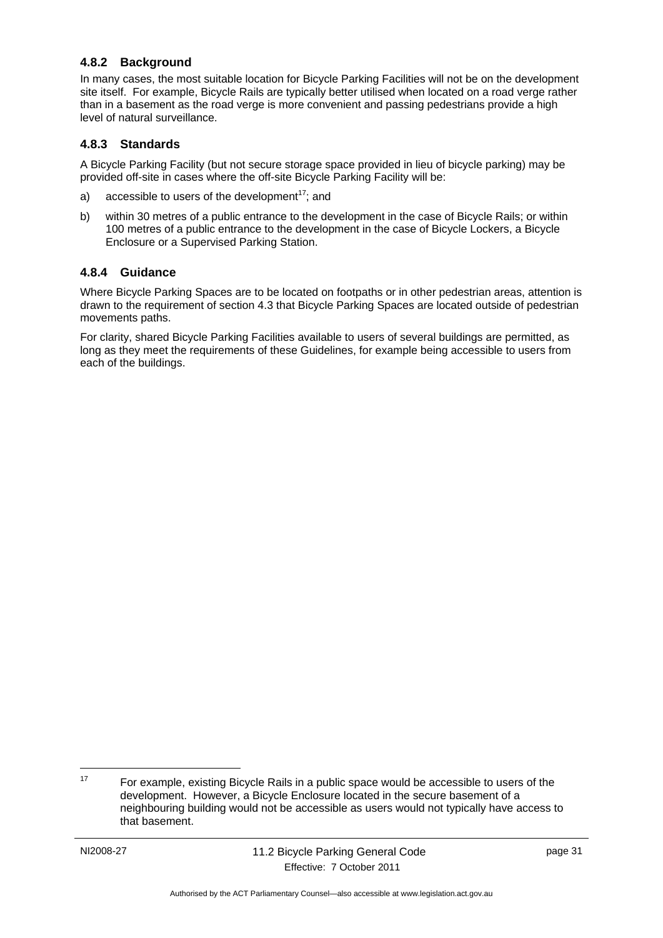#### <span id="page-34-0"></span>**4.8.2 Background**

In many cases, the most suitable location for Bicycle Parking Facilities will not be on the development site itself. For example, Bicycle Rails are typically better utilised when located on a road verge rather than in a basement as the road verge is more convenient and passing pedestrians provide a high level of natural surveillance.

#### <span id="page-34-1"></span>**4.8.3 Standards**

A Bicycle Parking Facility (but not secure storage space provided in lieu of bicycle parking) may be provided off-site in cases where the off-site Bicycle Parking Facility will be:

- a) accessible to users of the development<sup>17</sup>; and
- b) within 30 metres of a public entrance to the development in the case of Bicycle Rails; or within 100 metres of a public entrance to the development in the case of Bicycle Lockers, a Bicycle Enclosure or a Supervised Parking Station.

#### <span id="page-34-2"></span>**4.8.4 Guidance**

Where Bicycle Parking Spaces are to be located on footpaths or in other pedestrian areas, attention is drawn to the requirement of section 4.3 that Bicycle Parking Spaces are located outside of pedestrian movements paths.

For clarity, shared Bicycle Parking Facilities available to users of several buildings are permitted, as long as they meet the requirements of these Guidelines, for example being accessible to users from each of the buildings.

1

 $17$  For example, existing Bicycle Rails in a public space would be accessible to users of the development. However, a Bicycle Enclosure located in the secure basement of a neighbouring building would not be accessible as users would not typically have access to that basement.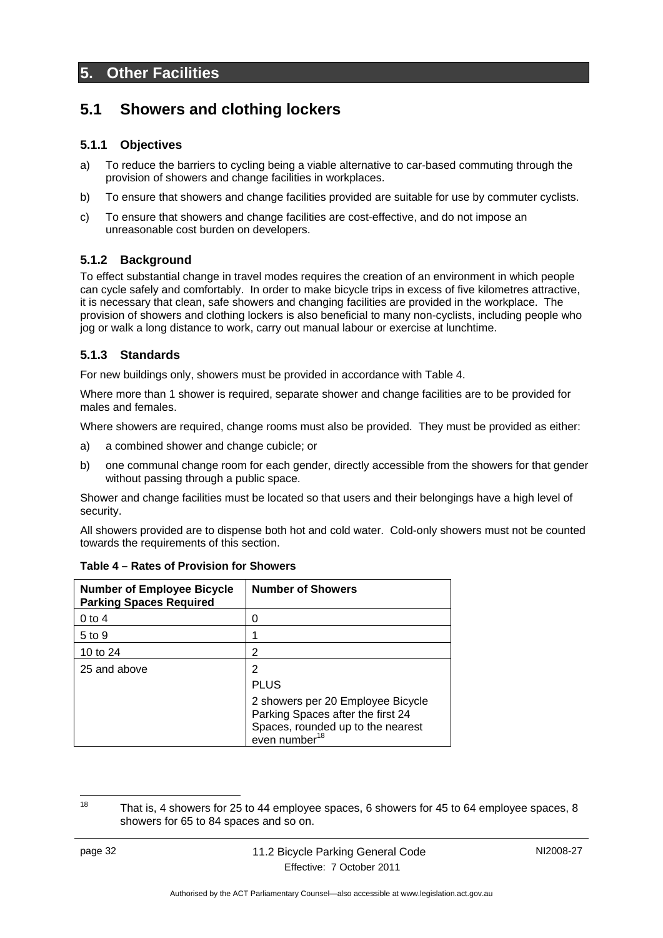### <span id="page-35-0"></span>**5. Other Facilities**

### <span id="page-35-1"></span>**5.1 Showers and clothing lockers**

#### <span id="page-35-2"></span>**5.1.1 Objectives**

- a) To reduce the barriers to cycling being a viable alternative to car-based commuting through the provision of showers and change facilities in workplaces.
- b) To ensure that showers and change facilities provided are suitable for use by commuter cyclists.
- c) To ensure that showers and change facilities are cost-effective, and do not impose an unreasonable cost burden on developers.

#### <span id="page-35-3"></span>**5.1.2 Background**

To effect substantial change in travel modes requires the creation of an environment in which people can cycle safely and comfortably. In order to make bicycle trips in excess of five kilometres attractive, it is necessary that clean, safe showers and changing facilities are provided in the workplace. The provision of showers and clothing lockers is also beneficial to many non-cyclists, including people who jog or walk a long distance to work, carry out manual labour or exercise at lunchtime.

#### <span id="page-35-4"></span>**5.1.3 Standards**

For new buildings only, showers must be provided in accordance with Table 4.

Where more than 1 shower is required, separate shower and change facilities are to be provided for males and females.

Where showers are required, change rooms must also be provided. They must be provided as either:

- a) a combined shower and change cubicle; or
- b) one communal change room for each gender, directly accessible from the showers for that gender without passing through a public space.

Shower and change facilities must be located so that users and their belongings have a high level of security.

All showers provided are to dispense both hot and cold water. Cold-only showers must not be counted towards the requirements of this section.

| <b>Number of Employee Bicycle</b><br><b>Parking Spaces Required</b> | <b>Number of Showers</b>                                                                                                                 |
|---------------------------------------------------------------------|------------------------------------------------------------------------------------------------------------------------------------------|
| $0$ to 4                                                            |                                                                                                                                          |
| $5$ to $9$                                                          |                                                                                                                                          |
| 10 to 24                                                            | 2                                                                                                                                        |
| 25 and above                                                        | 2                                                                                                                                        |
|                                                                     | <b>PLUS</b>                                                                                                                              |
|                                                                     | 2 showers per 20 Employee Bicycle<br>Parking Spaces after the first 24<br>Spaces, rounded up to the nearest<br>even number <sup>18</sup> |

|  |  | Table 4 – Rates of Provision for Showers |  |
|--|--|------------------------------------------|--|
|  |  |                                          |  |

<sup>18</sup> That is, 4 showers for 25 to 44 employee spaces, 6 showers for 45 to 64 employee spaces, 8 showers for 65 to 84 spaces and so on.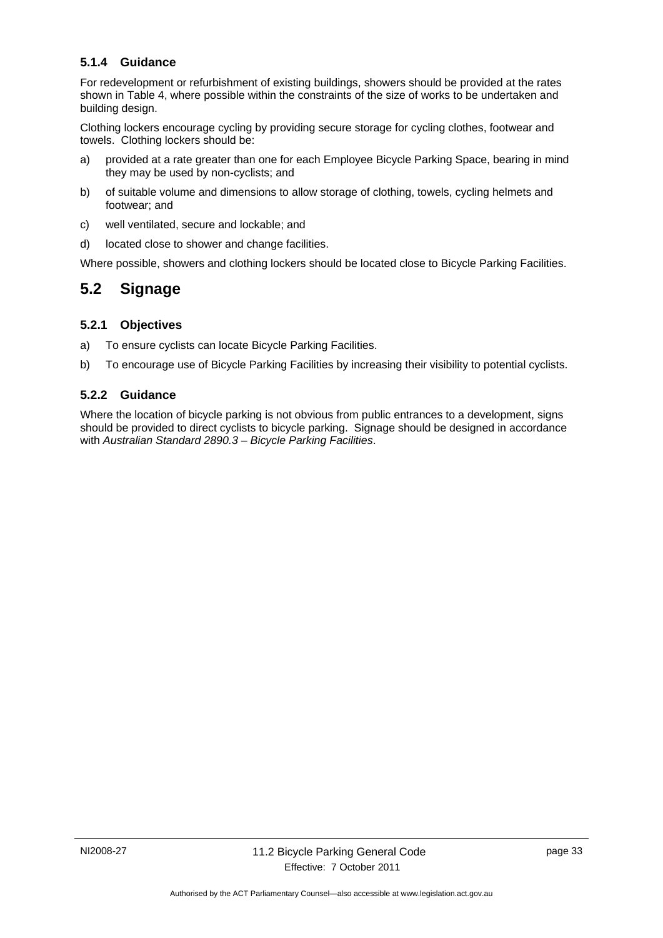#### <span id="page-36-0"></span>**5.1.4 Guidance**

For redevelopment or refurbishment of existing buildings, showers should be provided at the rates shown in Table 4, where possible within the constraints of the size of works to be undertaken and building design.

Clothing lockers encourage cycling by providing secure storage for cycling clothes, footwear and towels. Clothing lockers should be:

- a) provided at a rate greater than one for each Employee Bicycle Parking Space, bearing in mind they may be used by non-cyclists; and
- b) of suitable volume and dimensions to allow storage of clothing, towels, cycling helmets and footwear; and
- c) well ventilated, secure and lockable; and
- d) located close to shower and change facilities.

Where possible, showers and clothing lockers should be located close to Bicycle Parking Facilities.

### <span id="page-36-1"></span>**5.2 Signage**

#### <span id="page-36-2"></span>**5.2.1 Objectives**

- a) To ensure cyclists can locate Bicycle Parking Facilities.
- b) To encourage use of Bicycle Parking Facilities by increasing their visibility to potential cyclists.

#### <span id="page-36-3"></span>**5.2.2 Guidance**

Where the location of bicycle parking is not obvious from public entrances to a development, signs should be provided to direct cyclists to bicycle parking. Signage should be designed in accordance with *Australian Standard 2890.3 – Bicycle Parking Facilities*.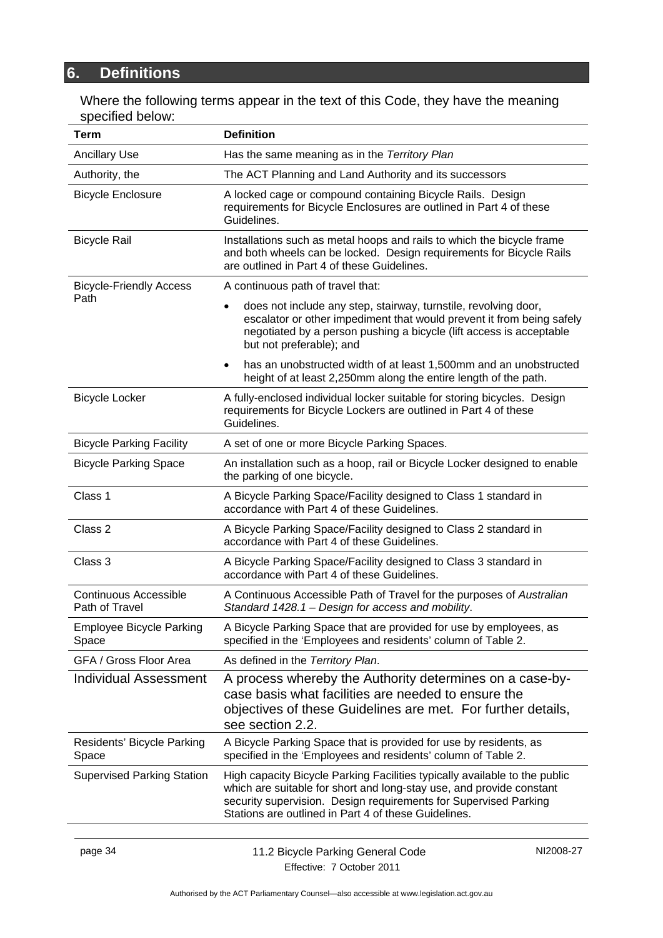# <span id="page-37-0"></span>**6. Definitions**

Where the following terms appear in the text of this Code, they have the meaning specified below:

| Term                                           | <b>Definition</b>                                                                                                                                                                                                                                                              |  |  |  |  |
|------------------------------------------------|--------------------------------------------------------------------------------------------------------------------------------------------------------------------------------------------------------------------------------------------------------------------------------|--|--|--|--|
| <b>Ancillary Use</b>                           | Has the same meaning as in the Territory Plan                                                                                                                                                                                                                                  |  |  |  |  |
| Authority, the                                 | The ACT Planning and Land Authority and its successors                                                                                                                                                                                                                         |  |  |  |  |
| <b>Bicycle Enclosure</b>                       | A locked cage or compound containing Bicycle Rails. Design<br>requirements for Bicycle Enclosures are outlined in Part 4 of these<br>Guidelines.                                                                                                                               |  |  |  |  |
| <b>Bicycle Rail</b>                            | Installations such as metal hoops and rails to which the bicycle frame<br>and both wheels can be locked. Design requirements for Bicycle Rails<br>are outlined in Part 4 of these Guidelines.                                                                                  |  |  |  |  |
| <b>Bicycle-Friendly Access</b>                 | A continuous path of travel that:                                                                                                                                                                                                                                              |  |  |  |  |
| Path                                           | does not include any step, stairway, turnstile, revolving door,<br>escalator or other impediment that would prevent it from being safely<br>negotiated by a person pushing a bicycle (lift access is acceptable<br>but not preferable); and                                    |  |  |  |  |
|                                                | has an unobstructed width of at least 1,500mm and an unobstructed<br>height of at least 2,250mm along the entire length of the path.                                                                                                                                           |  |  |  |  |
| <b>Bicycle Locker</b>                          | A fully-enclosed individual locker suitable for storing bicycles. Design<br>requirements for Bicycle Lockers are outlined in Part 4 of these<br>Guidelines.                                                                                                                    |  |  |  |  |
| <b>Bicycle Parking Facility</b>                | A set of one or more Bicycle Parking Spaces.                                                                                                                                                                                                                                   |  |  |  |  |
| <b>Bicycle Parking Space</b>                   | An installation such as a hoop, rail or Bicycle Locker designed to enable<br>the parking of one bicycle.                                                                                                                                                                       |  |  |  |  |
| Class 1                                        | A Bicycle Parking Space/Facility designed to Class 1 standard in<br>accordance with Part 4 of these Guidelines.                                                                                                                                                                |  |  |  |  |
| Class 2                                        | A Bicycle Parking Space/Facility designed to Class 2 standard in<br>accordance with Part 4 of these Guidelines.                                                                                                                                                                |  |  |  |  |
| Class 3                                        | A Bicycle Parking Space/Facility designed to Class 3 standard in<br>accordance with Part 4 of these Guidelines.                                                                                                                                                                |  |  |  |  |
| <b>Continuous Accessible</b><br>Path of Travel | A Continuous Accessible Path of Travel for the purposes of Australian<br>Standard 1428.1 - Design for access and mobility.                                                                                                                                                     |  |  |  |  |
| <b>Employee Bicycle Parking</b><br>Space       | A Bicycle Parking Space that are provided for use by employees, as<br>specified in the 'Employees and residents' column of Table 2.                                                                                                                                            |  |  |  |  |
| GFA / Gross Floor Area                         | As defined in the Territory Plan.                                                                                                                                                                                                                                              |  |  |  |  |
| <b>Individual Assessment</b>                   | A process whereby the Authority determines on a case-by-<br>case basis what facilities are needed to ensure the<br>objectives of these Guidelines are met. For further details,<br>see section 2.2.                                                                            |  |  |  |  |
| Residents' Bicycle Parking<br>Space            | A Bicycle Parking Space that is provided for use by residents, as<br>specified in the 'Employees and residents' column of Table 2.                                                                                                                                             |  |  |  |  |
| <b>Supervised Parking Station</b>              | High capacity Bicycle Parking Facilities typically available to the public<br>which are suitable for short and long-stay use, and provide constant<br>security supervision. Design requirements for Supervised Parking<br>Stations are outlined in Part 4 of these Guidelines. |  |  |  |  |